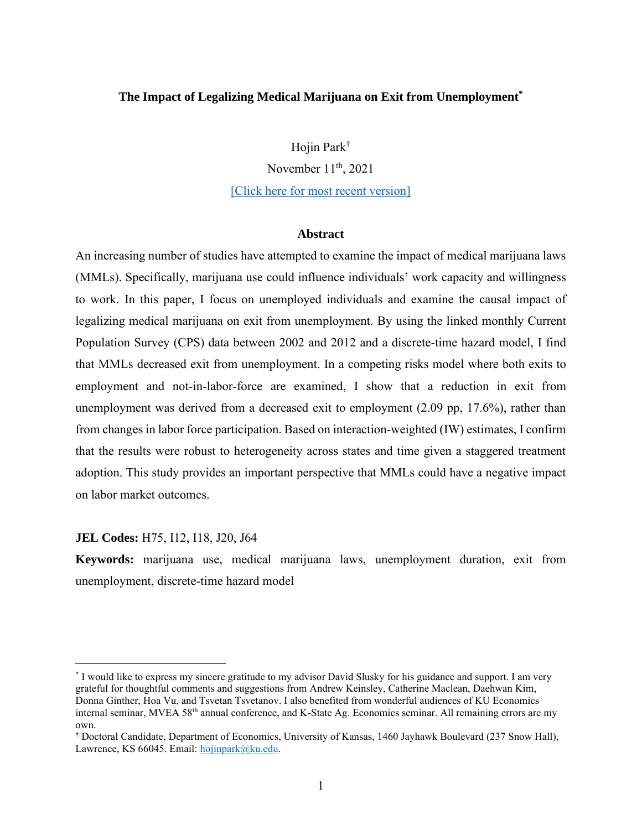#### **The Impact of Legalizing Medical Marijuana on Exit from Unemployment\***

Hojin Park†

November  $11<sup>th</sup>$ , 2021

[\[Click here for most recent version\]](https://drive.google.com/file/d/1rJMzISc5jxIDxaT_Gc7Z5tKSL5TXx59O/view?usp=sharing)

#### **Abstract**

An increasing number of studies have attempted to examine the impact of medical marijuana laws (MMLs). Specifically, marijuana use could influence individuals' work capacity and willingness to work. In this paper, I focus on unemployed individuals and examine the causal impact of legalizing medical marijuana on exit from unemployment. By using the linked monthly Current Population Survey (CPS) data between 2002 and 2012 and a discrete-time hazard model, I find that MMLs decreased exit from unemployment. In a competing risks model where both exits to employment and not-in-labor-force are examined, I show that a reduction in exit from unemployment was derived from a decreased exit to employment (2.09 pp, 17.6%), rather than from changes in labor force participation. Based on interaction-weighted (IW) estimates, I confirm that the results were robust to heterogeneity across states and time given a staggered treatment adoption. This study provides an important perspective that MMLs could have a negative impact on labor market outcomes.

#### **JEL Codes:** H75, I12, I18, J20, J64

**Keywords:** marijuana use, medical marijuana laws, unemployment duration, exit from unemployment, discrete-time hazard model

<sup>\*</sup> I would like to express my sincere gratitude to my advisor David Slusky for his guidance and support. I am very grateful for thoughtful comments and suggestions from Andrew Keinsley, Catherine Maclean, Daehwan Kim, Donna Ginther, Hoa Vu, and Tsvetan Tsvetanov. I also benefited from wonderful audiences of KU Economics internal seminar, MVEA 58<sup>th</sup> annual conference, and K-State Ag. Economics seminar. All remaining errors are my own.

<sup>†</sup> Doctoral Candidate, Department of Economics, University of Kansas, 1460 Jayhawk Boulevard (237 Snow Hall), Lawrence, KS 66045. Email: [hojinpark@ku.edu.](mailto:hojinpark@ku.edu)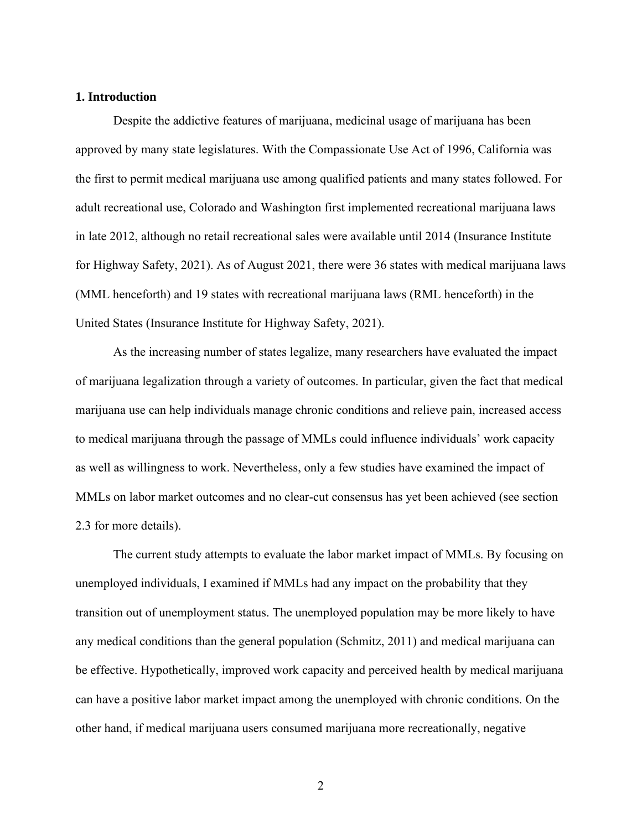#### **1. Introduction**

Despite the addictive features of marijuana, medicinal usage of marijuana has been approved by many state legislatures. With the Compassionate Use Act of 1996, California was the first to permit medical marijuana use among qualified patients and many states followed. For adult recreational use, Colorado and Washington first implemented recreational marijuana laws in late 2012, although no retail recreational sales were available until 2014 (Insurance Institute for Highway Safety, 2021). As of August 2021, there were 36 states with medical marijuana laws (MML henceforth) and 19 states with recreational marijuana laws (RML henceforth) in the United States (Insurance Institute for Highway Safety, 2021).

As the increasing number of states legalize, many researchers have evaluated the impact of marijuana legalization through a variety of outcomes. In particular, given the fact that medical marijuana use can help individuals manage chronic conditions and relieve pain, increased access to medical marijuana through the passage of MMLs could influence individuals' work capacity as well as willingness to work. Nevertheless, only a few studies have examined the impact of MMLs on labor market outcomes and no clear-cut consensus has yet been achieved (see section 2.3 for more details).

The current study attempts to evaluate the labor market impact of MMLs. By focusing on unemployed individuals, I examined if MMLs had any impact on the probability that they transition out of unemployment status. The unemployed population may be more likely to have any medical conditions than the general population (Schmitz, 2011) and medical marijuana can be effective. Hypothetically, improved work capacity and perceived health by medical marijuana can have a positive labor market impact among the unemployed with chronic conditions. On the other hand, if medical marijuana users consumed marijuana more recreationally, negative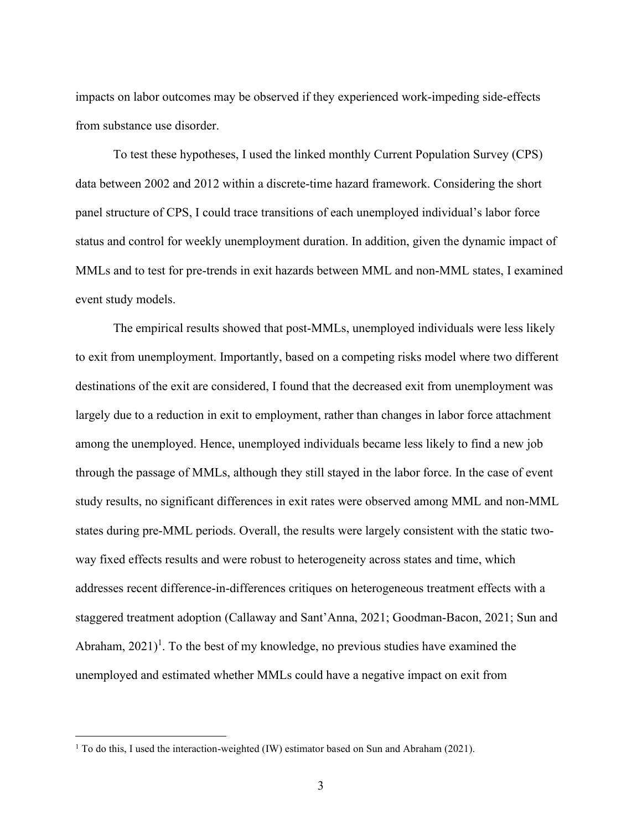impacts on labor outcomes may be observed if they experienced work-impeding side-effects from substance use disorder.

To test these hypotheses, I used the linked monthly Current Population Survey (CPS) data between 2002 and 2012 within a discrete-time hazard framework. Considering the short panel structure of CPS, I could trace transitions of each unemployed individual's labor force status and control for weekly unemployment duration. In addition, given the dynamic impact of MMLs and to test for pre-trends in exit hazards between MML and non-MML states, I examined event study models.

The empirical results showed that post-MMLs, unemployed individuals were less likely to exit from unemployment. Importantly, based on a competing risks model where two different destinations of the exit are considered, I found that the decreased exit from unemployment was largely due to a reduction in exit to employment, rather than changes in labor force attachment among the unemployed. Hence, unemployed individuals became less likely to find a new job through the passage of MMLs, although they still stayed in the labor force. In the case of event study results, no significant differences in exit rates were observed among MML and non-MML states during pre-MML periods. Overall, the results were largely consistent with the static twoway fixed effects results and were robust to heterogeneity across states and time, which addresses recent difference-in-differences critiques on heterogeneous treatment effects with a staggered treatment adoption (Callaway and Sant'Anna, 2021; Goodman-Bacon, 2021; Sun and Abraham, 2021)<sup>1</sup>. To the best of my knowledge, no previous studies have examined the unemployed and estimated whether MMLs could have a negative impact on exit from

<sup>1</sup> To do this, I used the interaction-weighted (IW) estimator based on Sun and Abraham (2021).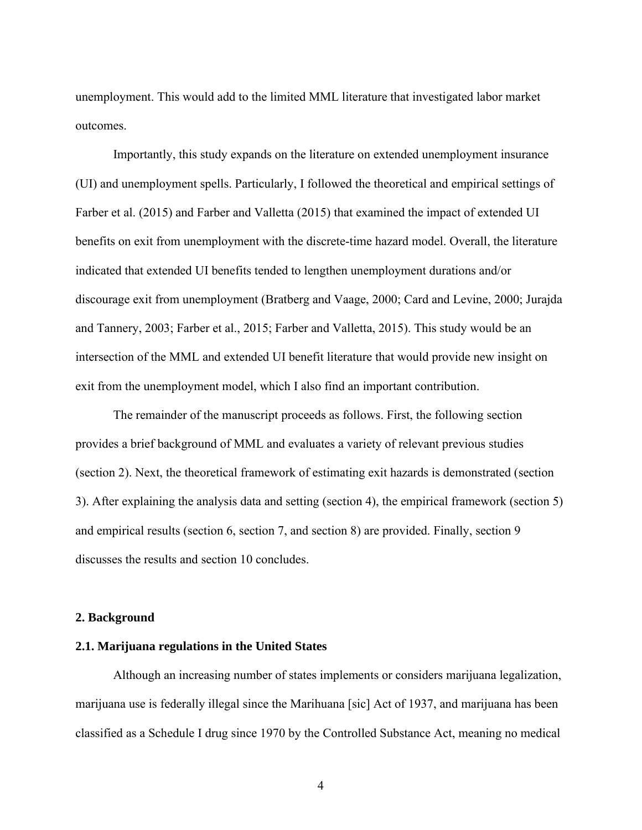unemployment. This would add to the limited MML literature that investigated labor market outcomes.

Importantly, this study expands on the literature on extended unemployment insurance (UI) and unemployment spells. Particularly, I followed the theoretical and empirical settings of Farber et al. (2015) and Farber and Valletta (2015) that examined the impact of extended UI benefits on exit from unemployment with the discrete-time hazard model. Overall, the literature indicated that extended UI benefits tended to lengthen unemployment durations and/or discourage exit from unemployment (Bratberg and Vaage, 2000; Card and Levine, 2000; Jurajda and Tannery, 2003; Farber et al., 2015; Farber and Valletta, 2015). This study would be an intersection of the MML and extended UI benefit literature that would provide new insight on exit from the unemployment model, which I also find an important contribution.

The remainder of the manuscript proceeds as follows. First, the following section provides a brief background of MML and evaluates a variety of relevant previous studies (section 2). Next, the theoretical framework of estimating exit hazards is demonstrated (section 3). After explaining the analysis data and setting (section 4), the empirical framework (section 5) and empirical results (section 6, section 7, and section 8) are provided. Finally, section 9 discusses the results and section 10 concludes.

#### **2. Background**

#### **2.1. Marijuana regulations in the United States**

Although an increasing number of states implements or considers marijuana legalization, marijuana use is federally illegal since the Marihuana [sic] Act of 1937, and marijuana has been classified as a Schedule I drug since 1970 by the Controlled Substance Act, meaning no medical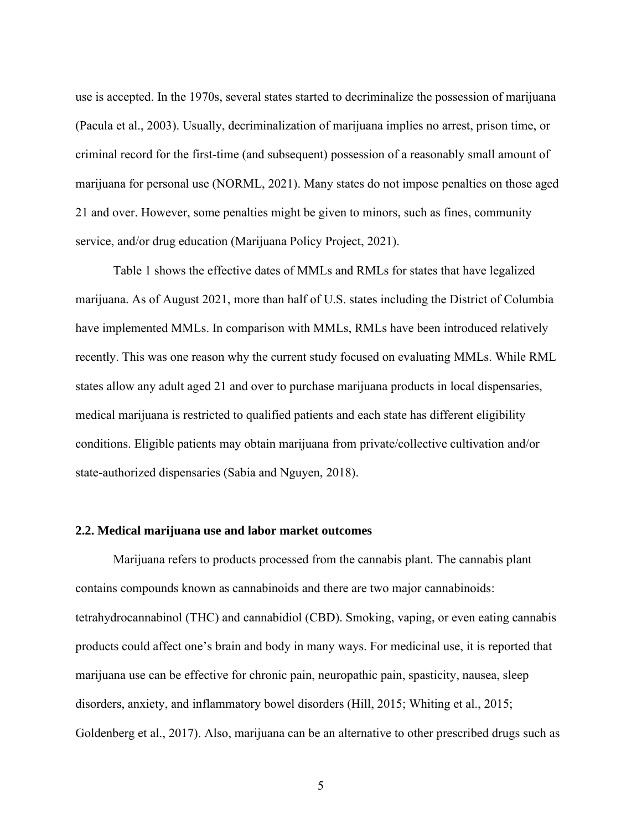use is accepted. In the 1970s, several states started to decriminalize the possession of marijuana (Pacula et al., 2003). Usually, decriminalization of marijuana implies no arrest, prison time, or criminal record for the first-time (and subsequent) possession of a reasonably small amount of marijuana for personal use (NORML, 2021). Many states do not impose penalties on those aged 21 and over. However, some penalties might be given to minors, such as fines, community service, and/or drug education (Marijuana Policy Project, 2021).

Table 1 shows the effective dates of MMLs and RMLs for states that have legalized marijuana. As of August 2021, more than half of U.S. states including the District of Columbia have implemented MMLs. In comparison with MMLs, RMLs have been introduced relatively recently. This was one reason why the current study focused on evaluating MMLs. While RML states allow any adult aged 21 and over to purchase marijuana products in local dispensaries, medical marijuana is restricted to qualified patients and each state has different eligibility conditions. Eligible patients may obtain marijuana from private/collective cultivation and/or state-authorized dispensaries (Sabia and Nguyen, 2018).

### **2.2. Medical marijuana use and labor market outcomes**

Marijuana refers to products processed from the cannabis plant. The cannabis plant contains compounds known as cannabinoids and there are two major cannabinoids: tetrahydrocannabinol (THC) and cannabidiol (CBD). Smoking, vaping, or even eating cannabis products could affect one's brain and body in many ways. For medicinal use, it is reported that marijuana use can be effective for chronic pain, neuropathic pain, spasticity, nausea, sleep disorders, anxiety, and inflammatory bowel disorders (Hill, 2015; Whiting et al., 2015; Goldenberg et al., 2017). Also, marijuana can be an alternative to other prescribed drugs such as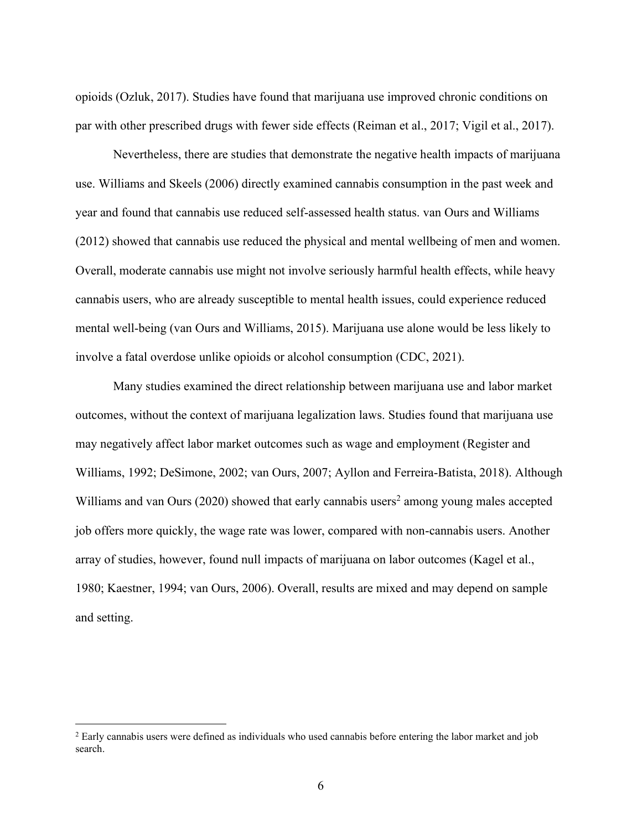opioids (Ozluk, 2017). Studies have found that marijuana use improved chronic conditions on par with other prescribed drugs with fewer side effects (Reiman et al., 2017; Vigil et al., 2017).

Nevertheless, there are studies that demonstrate the negative health impacts of marijuana use. Williams and Skeels (2006) directly examined cannabis consumption in the past week and year and found that cannabis use reduced self-assessed health status. van Ours and Williams (2012) showed that cannabis use reduced the physical and mental wellbeing of men and women. Overall, moderate cannabis use might not involve seriously harmful health effects, while heavy cannabis users, who are already susceptible to mental health issues, could experience reduced mental well-being (van Ours and Williams, 2015). Marijuana use alone would be less likely to involve a fatal overdose unlike opioids or alcohol consumption (CDC, 2021).

Many studies examined the direct relationship between marijuana use and labor market outcomes, without the context of marijuana legalization laws. Studies found that marijuana use may negatively affect labor market outcomes such as wage and employment (Register and Williams, 1992; DeSimone, 2002; van Ours, 2007; Ayllon and Ferreira-Batista, 2018). Although Williams and van Ours (2020) showed that early cannabis users<sup>2</sup> among young males accepted job offers more quickly, the wage rate was lower, compared with non-cannabis users. Another array of studies, however, found null impacts of marijuana on labor outcomes (Kagel et al., 1980; Kaestner, 1994; van Ours, 2006). Overall, results are mixed and may depend on sample and setting.

<sup>&</sup>lt;sup>2</sup> Early cannabis users were defined as individuals who used cannabis before entering the labor market and job search.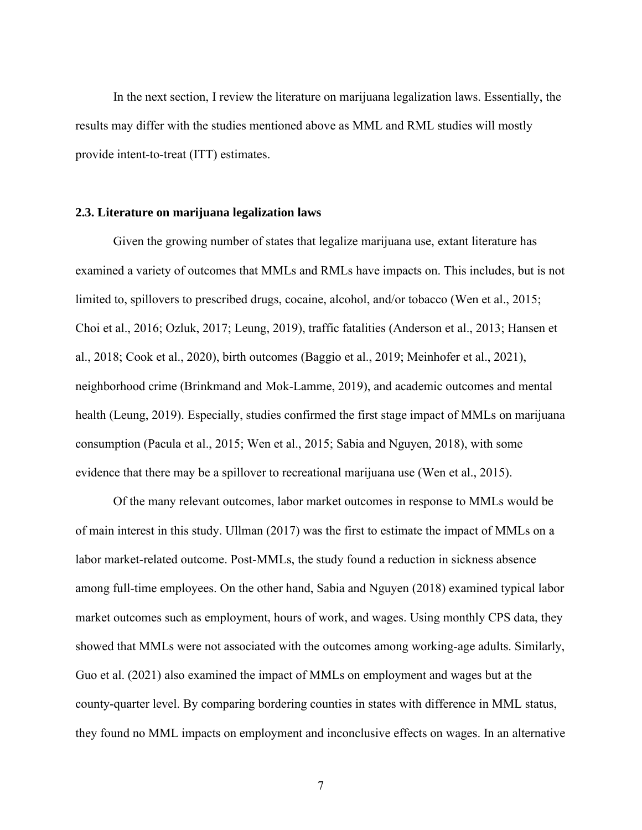In the next section, I review the literature on marijuana legalization laws. Essentially, the results may differ with the studies mentioned above as MML and RML studies will mostly provide intent-to-treat (ITT) estimates.

#### **2.3. Literature on marijuana legalization laws**

Given the growing number of states that legalize marijuana use, extant literature has examined a variety of outcomes that MMLs and RMLs have impacts on. This includes, but is not limited to, spillovers to prescribed drugs, cocaine, alcohol, and/or tobacco (Wen et al., 2015; Choi et al., 2016; Ozluk, 2017; Leung, 2019), traffic fatalities (Anderson et al., 2013; Hansen et al., 2018; Cook et al., 2020), birth outcomes (Baggio et al., 2019; Meinhofer et al., 2021), neighborhood crime (Brinkmand and Mok-Lamme, 2019), and academic outcomes and mental health (Leung, 2019). Especially, studies confirmed the first stage impact of MMLs on marijuana consumption (Pacula et al., 2015; Wen et al., 2015; Sabia and Nguyen, 2018), with some evidence that there may be a spillover to recreational marijuana use (Wen et al., 2015).

Of the many relevant outcomes, labor market outcomes in response to MMLs would be of main interest in this study. Ullman (2017) was the first to estimate the impact of MMLs on a labor market-related outcome. Post-MMLs, the study found a reduction in sickness absence among full-time employees. On the other hand, Sabia and Nguyen (2018) examined typical labor market outcomes such as employment, hours of work, and wages. Using monthly CPS data, they showed that MMLs were not associated with the outcomes among working-age adults. Similarly, Guo et al. (2021) also examined the impact of MMLs on employment and wages but at the county-quarter level. By comparing bordering counties in states with difference in MML status, they found no MML impacts on employment and inconclusive effects on wages. In an alternative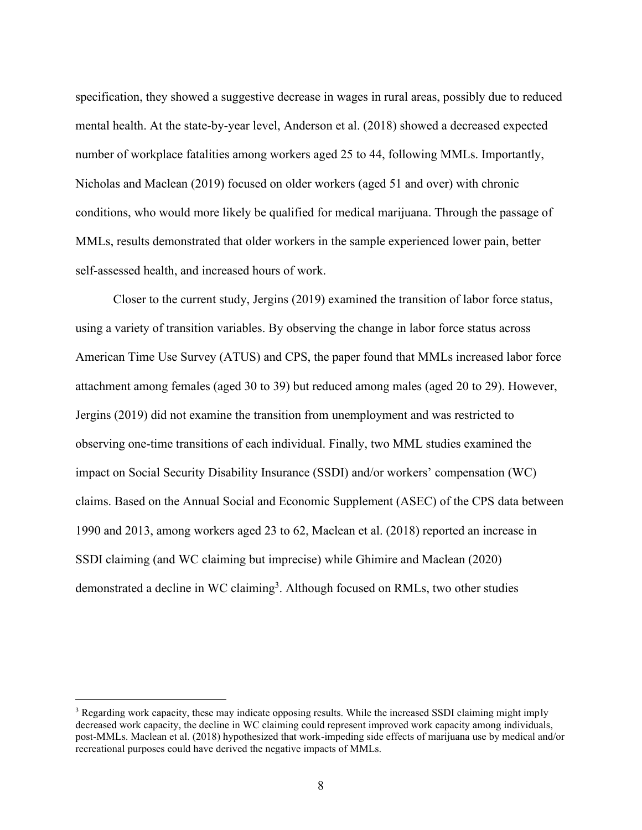specification, they showed a suggestive decrease in wages in rural areas, possibly due to reduced mental health. At the state-by-year level, Anderson et al. (2018) showed a decreased expected number of workplace fatalities among workers aged 25 to 44, following MMLs. Importantly, Nicholas and Maclean (2019) focused on older workers (aged 51 and over) with chronic conditions, who would more likely be qualified for medical marijuana. Through the passage of MMLs, results demonstrated that older workers in the sample experienced lower pain, better self-assessed health, and increased hours of work.

Closer to the current study, Jergins (2019) examined the transition of labor force status, using a variety of transition variables. By observing the change in labor force status across American Time Use Survey (ATUS) and CPS, the paper found that MMLs increased labor force attachment among females (aged 30 to 39) but reduced among males (aged 20 to 29). However, Jergins (2019) did not examine the transition from unemployment and was restricted to observing one-time transitions of each individual. Finally, two MML studies examined the impact on Social Security Disability Insurance (SSDI) and/or workers' compensation (WC) claims. Based on the Annual Social and Economic Supplement (ASEC) of the CPS data between 1990 and 2013, among workers aged 23 to 62, Maclean et al. (2018) reported an increase in SSDI claiming (and WC claiming but imprecise) while Ghimire and Maclean (2020) demonstrated a decline in WC claiming<sup>3</sup>. Although focused on RMLs, two other studies

<sup>&</sup>lt;sup>3</sup> Regarding work capacity, these may indicate opposing results. While the increased SSDI claiming might imply decreased work capacity, the decline in WC claiming could represent improved work capacity among individuals, post-MMLs. Maclean et al. (2018) hypothesized that work-impeding side effects of marijuana use by medical and/or recreational purposes could have derived the negative impacts of MMLs.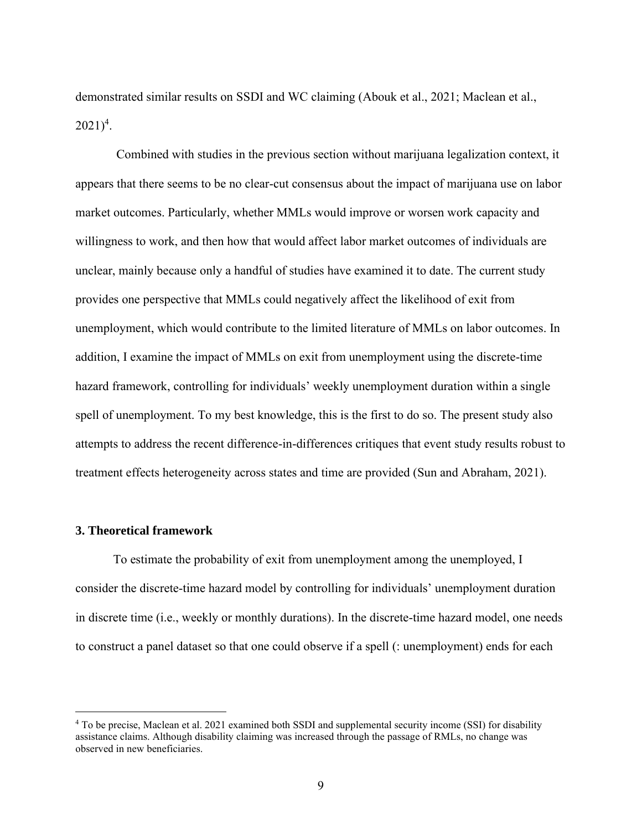demonstrated similar results on SSDI and WC claiming (Abouk et al., 2021; Maclean et al.,  $2021)^4$ .

Combined with studies in the previous section without marijuana legalization context, it appears that there seems to be no clear-cut consensus about the impact of marijuana use on labor market outcomes. Particularly, whether MMLs would improve or worsen work capacity and willingness to work, and then how that would affect labor market outcomes of individuals are unclear, mainly because only a handful of studies have examined it to date. The current study provides one perspective that MMLs could negatively affect the likelihood of exit from unemployment, which would contribute to the limited literature of MMLs on labor outcomes. In addition, I examine the impact of MMLs on exit from unemployment using the discrete-time hazard framework, controlling for individuals' weekly unemployment duration within a single spell of unemployment. To my best knowledge, this is the first to do so. The present study also attempts to address the recent difference-in-differences critiques that event study results robust to treatment effects heterogeneity across states and time are provided (Sun and Abraham, 2021).

#### **3. Theoretical framework**

To estimate the probability of exit from unemployment among the unemployed, I consider the discrete-time hazard model by controlling for individuals' unemployment duration in discrete time (i.e., weekly or monthly durations). In the discrete-time hazard model, one needs to construct a panel dataset so that one could observe if a spell (: unemployment) ends for each

<sup>4</sup> To be precise, Maclean et al. 2021 examined both SSDI and supplemental security income (SSI) for disability assistance claims. Although disability claiming was increased through the passage of RMLs, no change was observed in new beneficiaries.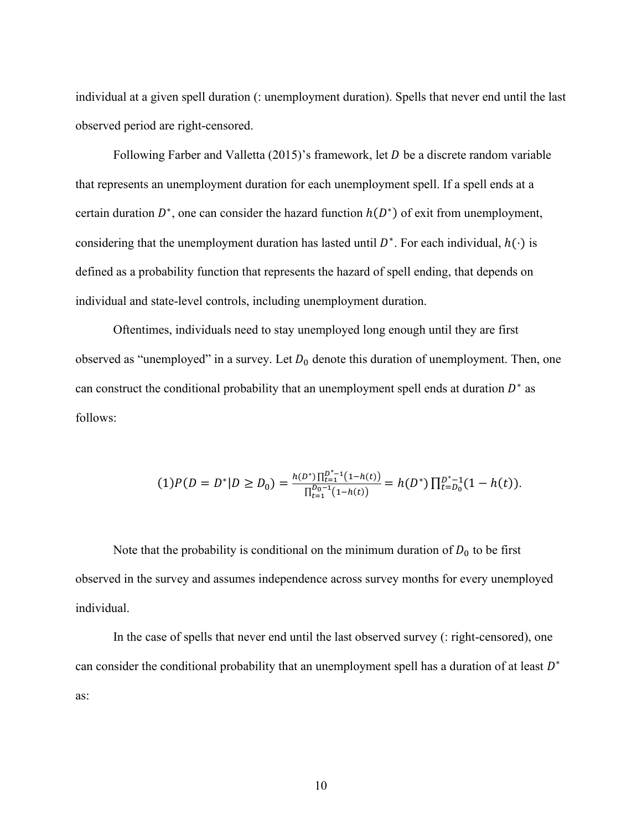individual at a given spell duration (: unemployment duration). Spells that never end until the last observed period are right-censored.

Following Farber and Valletta  $(2015)$ 's framework, let D be a discrete random variable that represents an unemployment duration for each unemployment spell. If a spell ends at a certain duration  $D^*$ , one can consider the hazard function  $h(D^*)$  of exit from unemployment, considering that the unemployment duration has lasted until  $D^*$ . For each individual,  $h(\cdot)$  is defined as a probability function that represents the hazard of spell ending, that depends on individual and state-level controls, including unemployment duration.

Oftentimes, individuals need to stay unemployed long enough until they are first observed as "unemployed" in a survey. Let  $D_0$  denote this duration of unemployment. Then, one can construct the conditional probability that an unemployment spell ends at duration  $D^*$  as follows:

$$
(1)P(D = D^*|D \ge D_0) = \frac{h(D^*)\prod_{t=1}^{D^*-1}(1-h(t))}{\prod_{t=1}^{D_0-1}(1-h(t))} = h(D^*)\prod_{t=D_0}^{D^*-1}(1-h(t)).
$$

Note that the probability is conditional on the minimum duration of  $D_0$  to be first observed in the survey and assumes independence across survey months for every unemployed individual.

In the case of spells that never end until the last observed survey (: right-censored), one can consider the conditional probability that an unemployment spell has a duration of at least  $D^*$ as: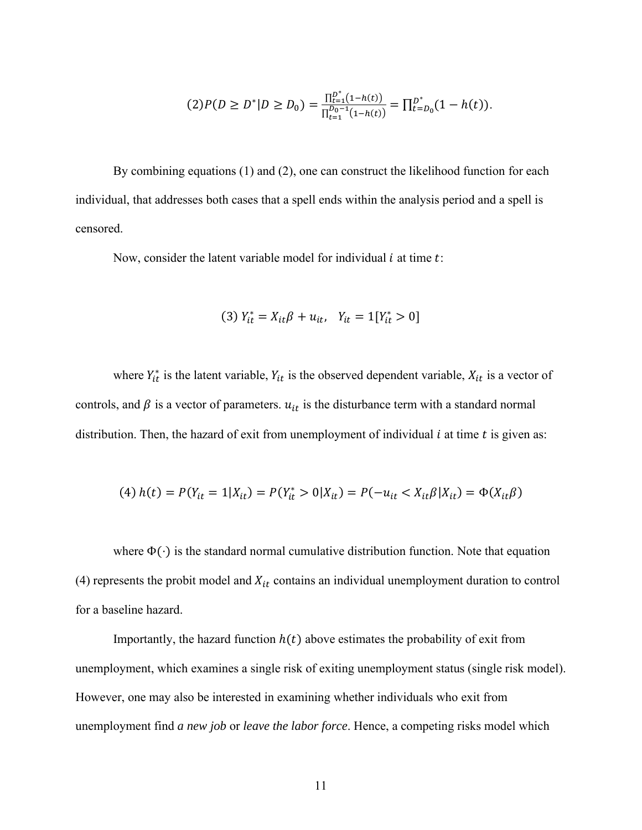$$
(2)P(D \ge D^*|D \ge D_0) = \frac{\prod_{t=1}^{D^*} (1-h(t))}{\prod_{t=1}^{D_0-1} (1-h(t))} = \prod_{t=D_0}^{D^*} (1-h(t)).
$$

By combining equations (1) and (2), one can construct the likelihood function for each individual, that addresses both cases that a spell ends within the analysis period and a spell is censored.

Now, consider the latent variable model for individual  $i$  at time  $t$ :

(3) 
$$
Y_{it}^* = X_{it}\beta + u_{it}
$$
,  $Y_{it} = 1[Y_{it}^* > 0]$ 

where  $Y_{it}^*$  is the latent variable,  $Y_{it}$  is the observed dependent variable,  $X_{it}$  is a vector of controls, and  $\beta$  is a vector of parameters.  $u_{it}$  is the disturbance term with a standard normal distribution. Then, the hazard of exit from unemployment of individual  $i$  at time  $t$  is given as:

(4) 
$$
h(t) = P(Y_{it} = 1 | X_{it}) = P(Y_{it}^* > 0 | X_{it}) = P(-u_{it} < X_{it} \beta | X_{it}) = \Phi(X_{it} \beta)
$$

where  $\Phi(\cdot)$  is the standard normal cumulative distribution function. Note that equation (4) represents the probit model and  $X_{it}$  contains an individual unemployment duration to control for a baseline hazard.

Importantly, the hazard function  $h(t)$  above estimates the probability of exit from unemployment, which examines a single risk of exiting unemployment status (single risk model). However, one may also be interested in examining whether individuals who exit from unemployment find *a new job* or *leave the labor force*. Hence, a competing risks model which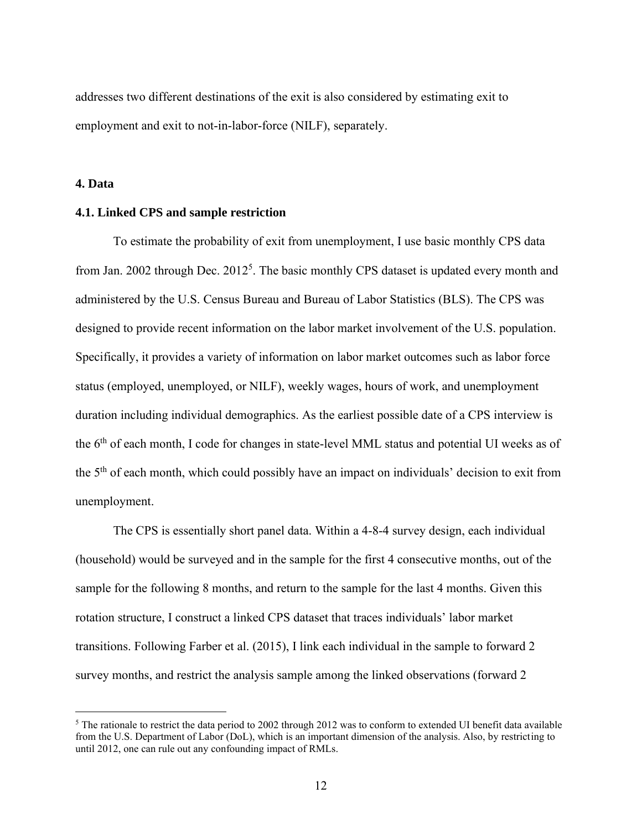addresses two different destinations of the exit is also considered by estimating exit to employment and exit to not-in-labor-force (NILF), separately.

**4. Data**

#### **4.1. Linked CPS and sample restriction**

To estimate the probability of exit from unemployment, I use basic monthly CPS data from Jan. 2002 through Dec. 2012<sup>5</sup>. The basic monthly CPS dataset is updated every month and administered by the U.S. Census Bureau and Bureau of Labor Statistics (BLS). The CPS was designed to provide recent information on the labor market involvement of the U.S. population. Specifically, it provides a variety of information on labor market outcomes such as labor force status (employed, unemployed, or NILF), weekly wages, hours of work, and unemployment duration including individual demographics. As the earliest possible date of a CPS interview is the 6<sup>th</sup> of each month, I code for changes in state-level MML status and potential UI weeks as of the 5<sup>th</sup> of each month, which could possibly have an impact on individuals' decision to exit from unemployment.

The CPS is essentially short panel data. Within a 4-8-4 survey design, each individual (household) would be surveyed and in the sample for the first 4 consecutive months, out of the sample for the following 8 months, and return to the sample for the last 4 months. Given this rotation structure, I construct a linked CPS dataset that traces individuals' labor market transitions. Following Farber et al. (2015), I link each individual in the sample to forward 2 survey months, and restrict the analysis sample among the linked observations (forward 2

<sup>&</sup>lt;sup>5</sup> The rationale to restrict the data period to 2002 through 2012 was to conform to extended UI benefit data available from the U.S. Department of Labor (DoL), which is an important dimension of the analysis. Also, by restricting to until 2012, one can rule out any confounding impact of RMLs.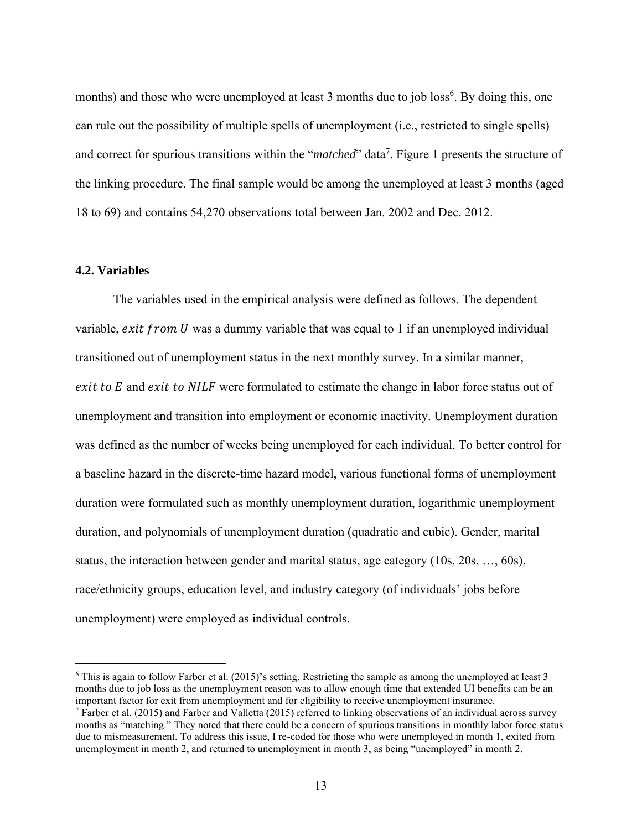months) and those who were unemployed at least 3 months due to job loss<sup>6</sup>. By doing this, one can rule out the possibility of multiple spells of unemployment (i.e., restricted to single spells) and correct for spurious transitions within the "*matched*" data<sup>7</sup>. Figure 1 presents the structure of the linking procedure. The final sample would be among the unemployed at least 3 months (aged 18 to 69) and contains 54,270 observations total between Jan. 2002 and Dec. 2012.

#### **4.2. Variables**

The variables used in the empirical analysis were defined as follows. The dependent variable, *exit from U* was a dummy variable that was equal to 1 if an unemployed individual transitioned out of unemployment status in the next monthly survey. In a similar manner,  $exit to E$  and  $exit to NULLF$  were formulated to estimate the change in labor force status out of unemployment and transition into employment or economic inactivity. Unemployment duration was defined as the number of weeks being unemployed for each individual. To better control for a baseline hazard in the discrete-time hazard model, various functional forms of unemployment duration were formulated such as monthly unemployment duration, logarithmic unemployment duration, and polynomials of unemployment duration (quadratic and cubic). Gender, marital status, the interaction between gender and marital status, age category (10s, 20s, …, 60s), race/ethnicity groups, education level, and industry category (of individuals' jobs before unemployment) were employed as individual controls.

 $6$  This is again to follow Farber et al. (2015)'s setting. Restricting the sample as among the unemployed at least 3 months due to job loss as the unemployment reason was to allow enough time that extended UI benefits can be an important factor for exit from unemployment and for eligibility to receive unemployment insurance.

<sup>&</sup>lt;sup>7</sup> Farber et al. (2015) and Farber and Valletta (2015) referred to linking observations of an individual across survey months as "matching." They noted that there could be a concern of spurious transitions in monthly labor force status due to mismeasurement. To address this issue, I re-coded for those who were unemployed in month 1, exited from unemployment in month 2, and returned to unemployment in month 3, as being "unemployed" in month 2.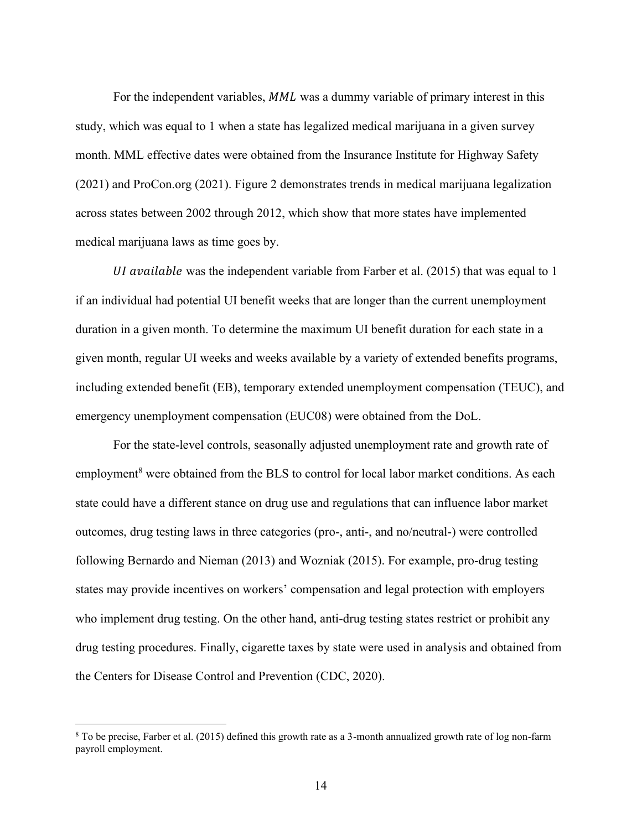For the independent variables, MML was a dummy variable of primary interest in this study, which was equal to 1 when a state has legalized medical marijuana in a given survey month. MML effective dates were obtained from the Insurance Institute for Highway Safety (2021) and ProCon.org (2021). Figure 2 demonstrates trends in medical marijuana legalization across states between 2002 through 2012, which show that more states have implemented medical marijuana laws as time goes by.

UI available was the independent variable from Farber et al.  $(2015)$  that was equal to 1 if an individual had potential UI benefit weeks that are longer than the current unemployment duration in a given month. To determine the maximum UI benefit duration for each state in a given month, regular UI weeks and weeks available by a variety of extended benefits programs, including extended benefit (EB), temporary extended unemployment compensation (TEUC), and emergency unemployment compensation (EUC08) were obtained from the DoL.

For the state-level controls, seasonally adjusted unemployment rate and growth rate of employment<sup>8</sup> were obtained from the BLS to control for local labor market conditions. As each state could have a different stance on drug use and regulations that can influence labor market outcomes, drug testing laws in three categories (pro-, anti-, and no/neutral-) were controlled following Bernardo and Nieman (2013) and Wozniak (2015). For example, pro-drug testing states may provide incentives on workers' compensation and legal protection with employers who implement drug testing. On the other hand, anti-drug testing states restrict or prohibit any drug testing procedures. Finally, cigarette taxes by state were used in analysis and obtained from the Centers for Disease Control and Prevention (CDC, 2020).

<sup>8</sup> To be precise, Farber et al. (2015) defined this growth rate as a 3-month annualized growth rate of log non-farm payroll employment.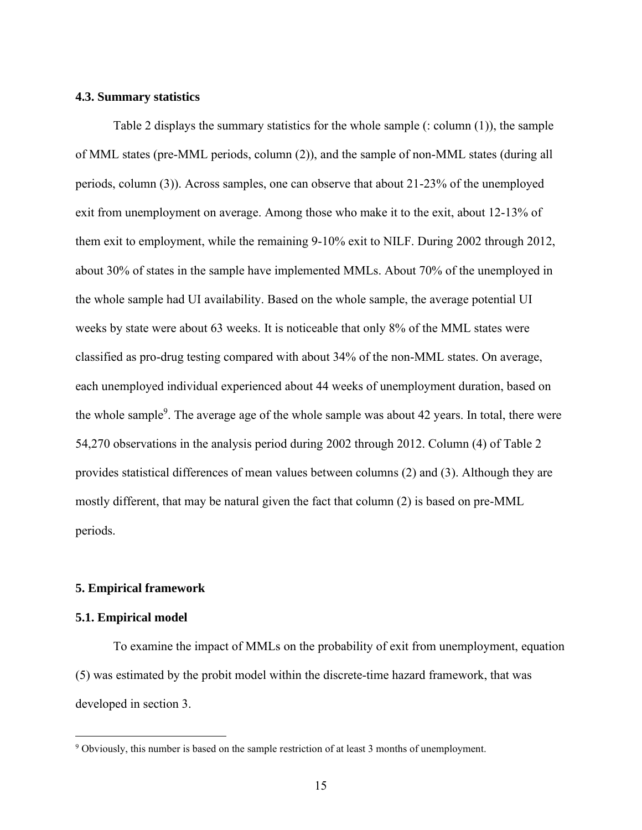#### **4.3. Summary statistics**

Table 2 displays the summary statistics for the whole sample (: column (1)), the sample of MML states (pre-MML periods, column (2)), and the sample of non-MML states (during all periods, column (3)). Across samples, one can observe that about 21-23% of the unemployed exit from unemployment on average. Among those who make it to the exit, about 12-13% of them exit to employment, while the remaining 9-10% exit to NILF. During 2002 through 2012, about 30% of states in the sample have implemented MMLs. About 70% of the unemployed in the whole sample had UI availability. Based on the whole sample, the average potential UI weeks by state were about 63 weeks. It is noticeable that only 8% of the MML states were classified as pro-drug testing compared with about 34% of the non-MML states. On average, each unemployed individual experienced about 44 weeks of unemployment duration, based on the whole sample<sup>9</sup>. The average age of the whole sample was about 42 years. In total, there were 54,270 observations in the analysis period during 2002 through 2012. Column (4) of Table 2 provides statistical differences of mean values between columns (2) and (3). Although they are mostly different, that may be natural given the fact that column (2) is based on pre-MML periods.

#### **5. Empirical framework**

#### **5.1. Empirical model**

To examine the impact of MMLs on the probability of exit from unemployment, equation (5) was estimated by the probit model within the discrete-time hazard framework, that was developed in section 3.

<sup>9</sup> Obviously, this number is based on the sample restriction of at least 3 months of unemployment.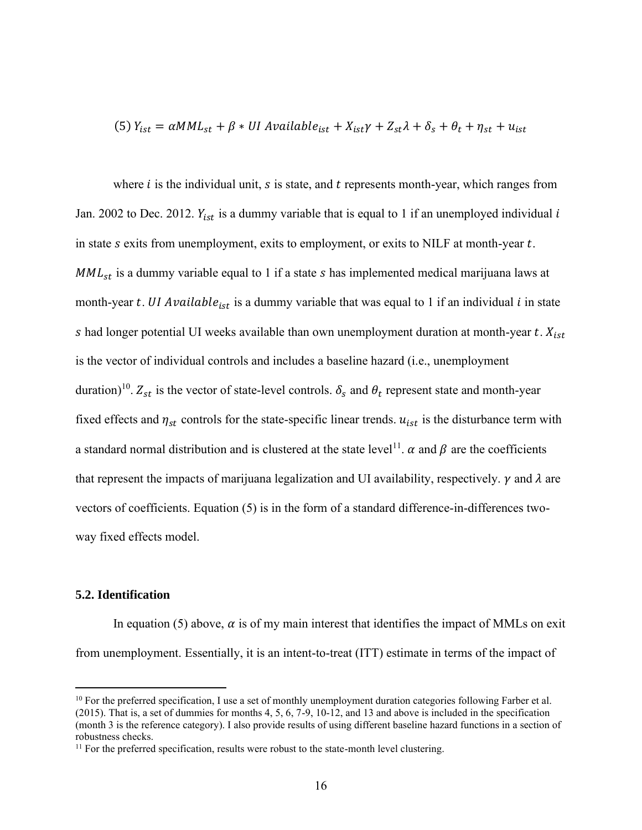(5) 
$$
Y_{ist} = \alpha M M L_{st} + \beta * U I
$$
 *Available<sub>ist</sub>* +  $X_{ist} \gamma + Z_{st} \lambda + \delta_s + \theta_t + \eta_{st} + u_{ist}$ 

where  $i$  is the individual unit,  $s$  is state, and  $t$  represents month-year, which ranges from Jan. 2002 to Dec. 2012.  $Y_{ist}$  is a dummy variable that is equal to 1 if an unemployed individual i in state  $s$  exits from unemployment, exits to employment, or exits to NILF at month-year  $t$ .  $MML_{st}$  is a dummy variable equal to 1 if a state  $s$  has implemented medical marijuana laws at month-year t. UI Available<sub>ist</sub> is a dummy variable that was equal to 1 if an individual  $i$  in state s had longer potential UI weeks available than own unemployment duration at month-year  $t$ .  $X_{ist}$ is the vector of individual controls and includes a baseline hazard (i.e., unemployment duration)<sup>10</sup>.  $Z_{st}$  is the vector of state-level controls.  $\delta_s$  and  $\theta_t$  represent state and month-year fixed effects and  $\eta_{st}$  controls for the state-specific linear trends.  $u_{ist}$  is the disturbance term with a standard normal distribution and is clustered at the state level<sup>11</sup>.  $\alpha$  and  $\beta$  are the coefficients that represent the impacts of marijuana legalization and UI availability, respectively.  $\gamma$  and  $\lambda$  are vectors of coefficients. Equation (5) is in the form of a standard difference-in-differences twoway fixed effects model.

# **5.2. Identification**

In equation (5) above,  $\alpha$  is of my main interest that identifies the impact of MMLs on exit from unemployment. Essentially, it is an intent-to-treat (ITT) estimate in terms of the impact of

<sup>&</sup>lt;sup>10</sup> For the preferred specification, I use a set of monthly unemployment duration categories following Farber et al. (2015). That is, a set of dummies for months 4, 5, 6, 7-9, 10-12, and 13 and above is included in the specification (month 3 is the reference category). I also provide results of using different baseline hazard functions in a section of robustness checks.

<sup>&</sup>lt;sup>11</sup> For the preferred specification, results were robust to the state-month level clustering.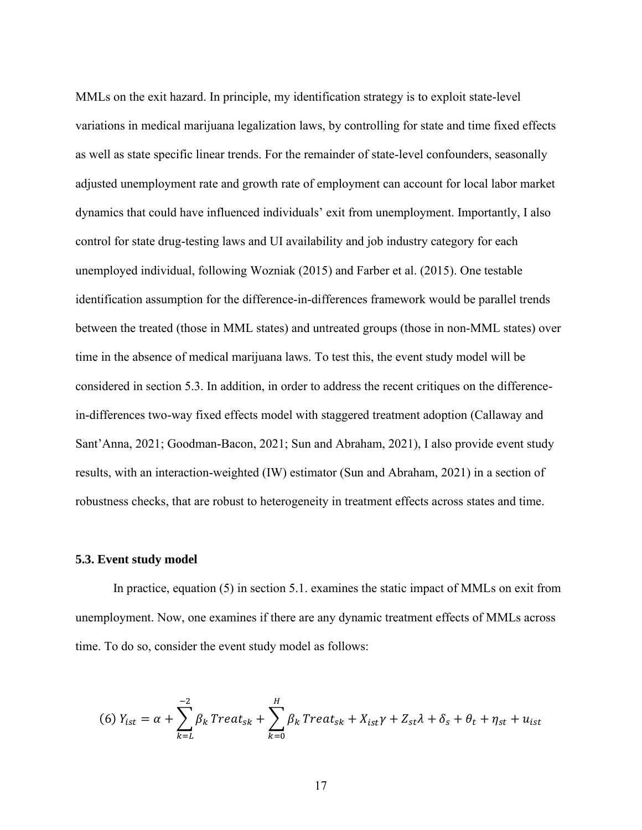MMLs on the exit hazard. In principle, my identification strategy is to exploit state-level variations in medical marijuana legalization laws, by controlling for state and time fixed effects as well as state specific linear trends. For the remainder of state-level confounders, seasonally adjusted unemployment rate and growth rate of employment can account for local labor market dynamics that could have influenced individuals' exit from unemployment. Importantly, I also control for state drug-testing laws and UI availability and job industry category for each unemployed individual, following Wozniak (2015) and Farber et al. (2015). One testable identification assumption for the difference-in-differences framework would be parallel trends between the treated (those in MML states) and untreated groups (those in non-MML states) over time in the absence of medical marijuana laws. To test this, the event study model will be considered in section 5.3. In addition, in order to address the recent critiques on the differencein-differences two-way fixed effects model with staggered treatment adoption (Callaway and Sant'Anna, 2021; Goodman-Bacon, 2021; Sun and Abraham, 2021), I also provide event study results, with an interaction-weighted (IW) estimator (Sun and Abraham, 2021) in a section of robustness checks, that are robust to heterogeneity in treatment effects across states and time.

#### **5.3. Event study model**

In practice, equation (5) in section 5.1. examines the static impact of MMLs on exit from unemployment. Now, one examines if there are any dynamic treatment effects of MMLs across time. To do so, consider the event study model as follows:

(6) 
$$
Y_{ist} = \alpha + \sum_{k=L}^{-2} \beta_k \text{Treat}_{sk} + \sum_{k=0}^{H} \beta_k \text{Treat}_{sk} + X_{ist} \gamma + Z_{st} \lambda + \delta_s + \theta_t + \eta_{st} + u_{ist}
$$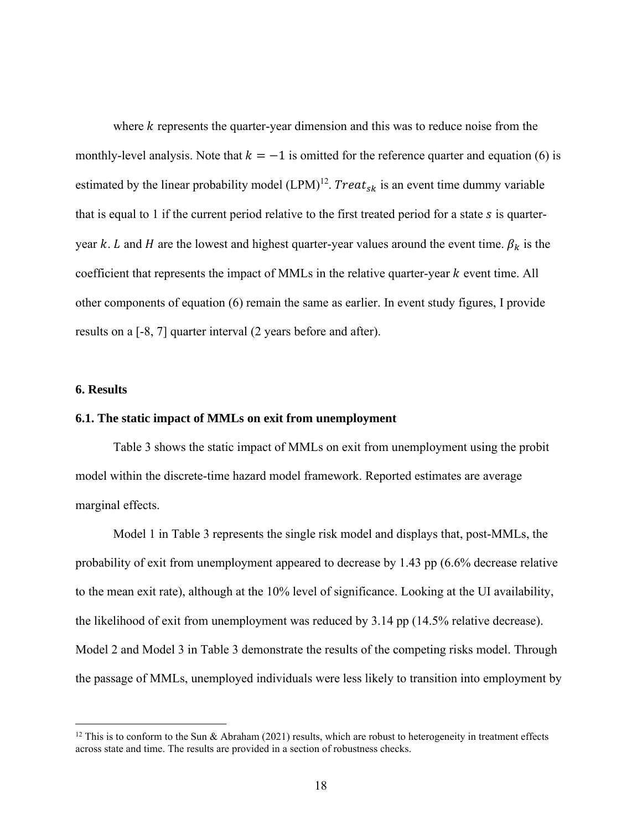where  $k$  represents the quarter-year dimension and this was to reduce noise from the monthly-level analysis. Note that  $k = -1$  is omitted for the reference quarter and equation (6) is estimated by the linear probability model  $(LPM)^{12}$ . Treat<sub>sk</sub> is an event time dummy variable that is equal to 1 if the current period relative to the first treated period for a state  $s$  is quarteryear k. L and H are the lowest and highest quarter-year values around the event time.  $\beta_k$  is the coefficient that represents the impact of MMLs in the relative quarter-year  $k$  event time. All other components of equation (6) remain the same as earlier. In event study figures, I provide results on a [-8, 7] quarter interval (2 years before and after).

#### **6. Results**

#### **6.1. The static impact of MMLs on exit from unemployment**

Table 3 shows the static impact of MMLs on exit from unemployment using the probit model within the discrete-time hazard model framework. Reported estimates are average marginal effects.

Model 1 in Table 3 represents the single risk model and displays that, post-MMLs, the probability of exit from unemployment appeared to decrease by 1.43 pp (6.6% decrease relative to the mean exit rate), although at the 10% level of significance. Looking at the UI availability, the likelihood of exit from unemployment was reduced by 3.14 pp (14.5% relative decrease). Model 2 and Model 3 in Table 3 demonstrate the results of the competing risks model. Through the passage of MMLs, unemployed individuals were less likely to transition into employment by

<sup>&</sup>lt;sup>12</sup> This is to conform to the Sun & Abraham (2021) results, which are robust to heterogeneity in treatment effects across state and time. The results are provided in a section of robustness checks.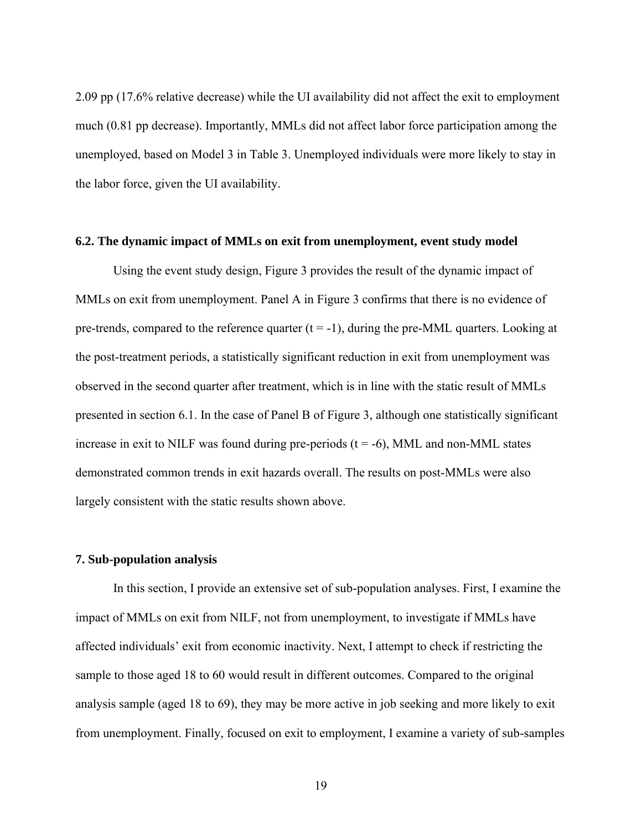2.09 pp (17.6% relative decrease) while the UI availability did not affect the exit to employment much (0.81 pp decrease). Importantly, MMLs did not affect labor force participation among the unemployed, based on Model 3 in Table 3. Unemployed individuals were more likely to stay in the labor force, given the UI availability.

#### **6.2. The dynamic impact of MMLs on exit from unemployment, event study model**

Using the event study design, Figure 3 provides the result of the dynamic impact of MMLs on exit from unemployment. Panel A in Figure 3 confirms that there is no evidence of pre-trends, compared to the reference quarter  $(t = -1)$ , during the pre-MML quarters. Looking at the post-treatment periods, a statistically significant reduction in exit from unemployment was observed in the second quarter after treatment, which is in line with the static result of MMLs presented in section 6.1. In the case of Panel B of Figure 3, although one statistically significant increase in exit to NILF was found during pre-periods  $(t = -6)$ , MML and non-MML states demonstrated common trends in exit hazards overall. The results on post-MMLs were also largely consistent with the static results shown above.

#### **7. Sub-population analysis**

In this section, I provide an extensive set of sub-population analyses. First, I examine the impact of MMLs on exit from NILF, not from unemployment, to investigate if MMLs have affected individuals' exit from economic inactivity. Next, I attempt to check if restricting the sample to those aged 18 to 60 would result in different outcomes. Compared to the original analysis sample (aged 18 to 69), they may be more active in job seeking and more likely to exit from unemployment. Finally, focused on exit to employment, I examine a variety of sub-samples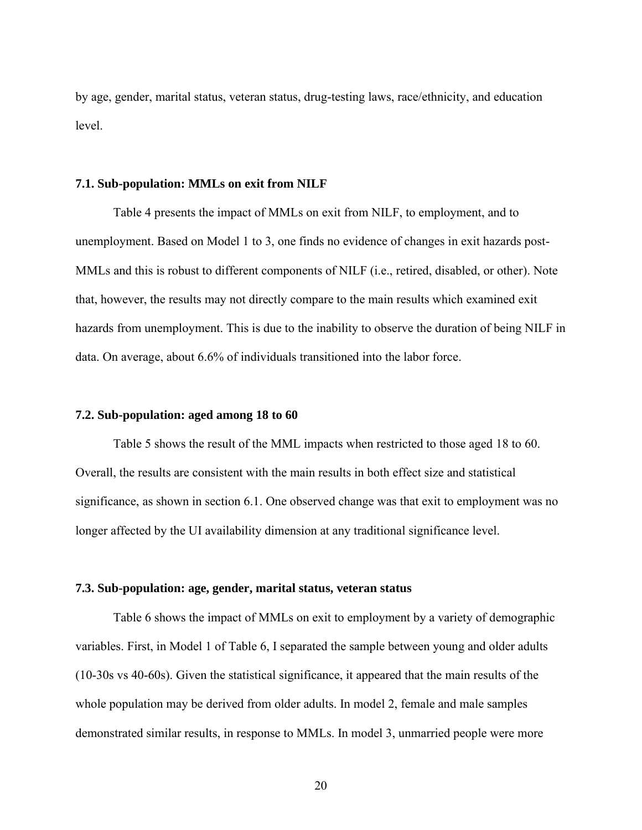by age, gender, marital status, veteran status, drug-testing laws, race/ethnicity, and education level.

#### **7.1. Sub-population: MMLs on exit from NILF**

Table 4 presents the impact of MMLs on exit from NILF, to employment, and to unemployment. Based on Model 1 to 3, one finds no evidence of changes in exit hazards post-MMLs and this is robust to different components of NILF (i.e., retired, disabled, or other). Note that, however, the results may not directly compare to the main results which examined exit hazards from unemployment. This is due to the inability to observe the duration of being NILF in data. On average, about 6.6% of individuals transitioned into the labor force.

#### **7.2. Sub-population: aged among 18 to 60**

Table 5 shows the result of the MML impacts when restricted to those aged 18 to 60. Overall, the results are consistent with the main results in both effect size and statistical significance, as shown in section 6.1. One observed change was that exit to employment was no longer affected by the UI availability dimension at any traditional significance level.

#### **7.3. Sub-population: age, gender, marital status, veteran status**

Table 6 shows the impact of MMLs on exit to employment by a variety of demographic variables. First, in Model 1 of Table 6, I separated the sample between young and older adults (10-30s vs 40-60s). Given the statistical significance, it appeared that the main results of the whole population may be derived from older adults. In model 2, female and male samples demonstrated similar results, in response to MMLs. In model 3, unmarried people were more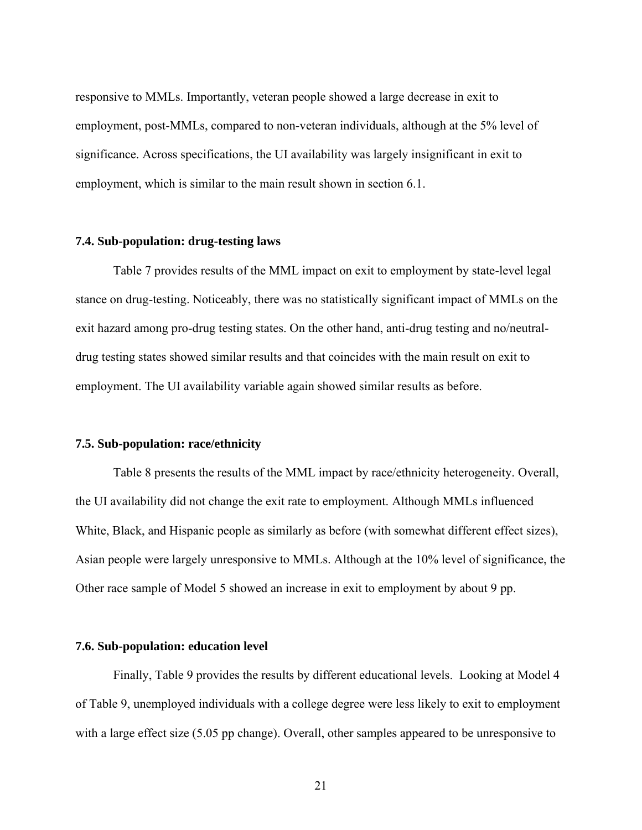responsive to MMLs. Importantly, veteran people showed a large decrease in exit to employment, post-MMLs, compared to non-veteran individuals, although at the 5% level of significance. Across specifications, the UI availability was largely insignificant in exit to employment, which is similar to the main result shown in section 6.1.

#### **7.4. Sub-population: drug-testing laws**

Table 7 provides results of the MML impact on exit to employment by state-level legal stance on drug-testing. Noticeably, there was no statistically significant impact of MMLs on the exit hazard among pro-drug testing states. On the other hand, anti-drug testing and no/neutraldrug testing states showed similar results and that coincides with the main result on exit to employment. The UI availability variable again showed similar results as before.

#### **7.5. Sub-population: race/ethnicity**

Table 8 presents the results of the MML impact by race/ethnicity heterogeneity. Overall, the UI availability did not change the exit rate to employment. Although MMLs influenced White, Black, and Hispanic people as similarly as before (with somewhat different effect sizes), Asian people were largely unresponsive to MMLs. Although at the 10% level of significance, the Other race sample of Model 5 showed an increase in exit to employment by about 9 pp.

#### **7.6. Sub-population: education level**

Finally, Table 9 provides the results by different educational levels. Looking at Model 4 of Table 9, unemployed individuals with a college degree were less likely to exit to employment with a large effect size (5.05 pp change). Overall, other samples appeared to be unresponsive to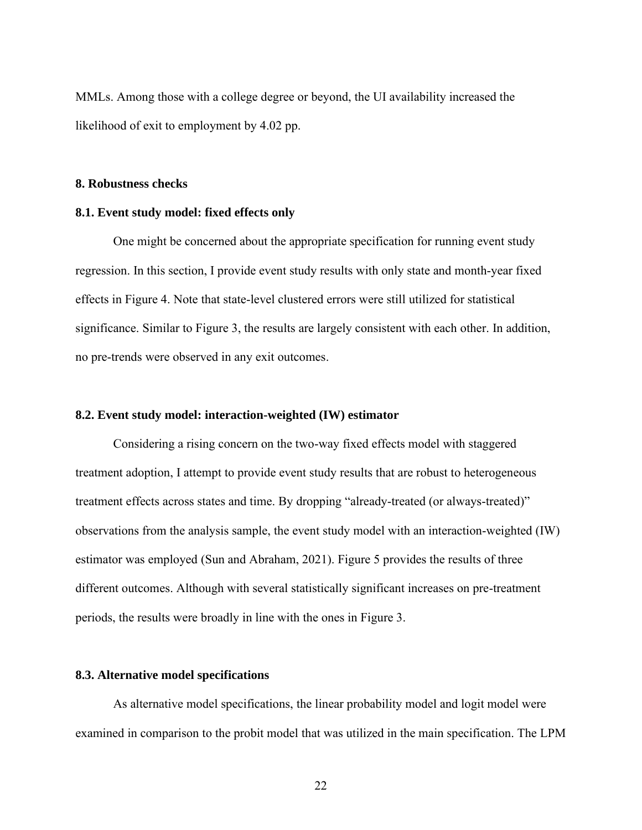MMLs. Among those with a college degree or beyond, the UI availability increased the likelihood of exit to employment by 4.02 pp.

#### **8. Robustness checks**

#### **8.1. Event study model: fixed effects only**

One might be concerned about the appropriate specification for running event study regression. In this section, I provide event study results with only state and month-year fixed effects in Figure 4. Note that state-level clustered errors were still utilized for statistical significance. Similar to Figure 3, the results are largely consistent with each other. In addition, no pre-trends were observed in any exit outcomes.

#### **8.2. Event study model: interaction-weighted (IW) estimator**

Considering a rising concern on the two-way fixed effects model with staggered treatment adoption, I attempt to provide event study results that are robust to heterogeneous treatment effects across states and time. By dropping "already-treated (or always-treated)" observations from the analysis sample, the event study model with an interaction-weighted (IW) estimator was employed (Sun and Abraham, 2021). Figure 5 provides the results of three different outcomes. Although with several statistically significant increases on pre-treatment periods, the results were broadly in line with the ones in Figure 3.

#### **8.3. Alternative model specifications**

As alternative model specifications, the linear probability model and logit model were examined in comparison to the probit model that was utilized in the main specification. The LPM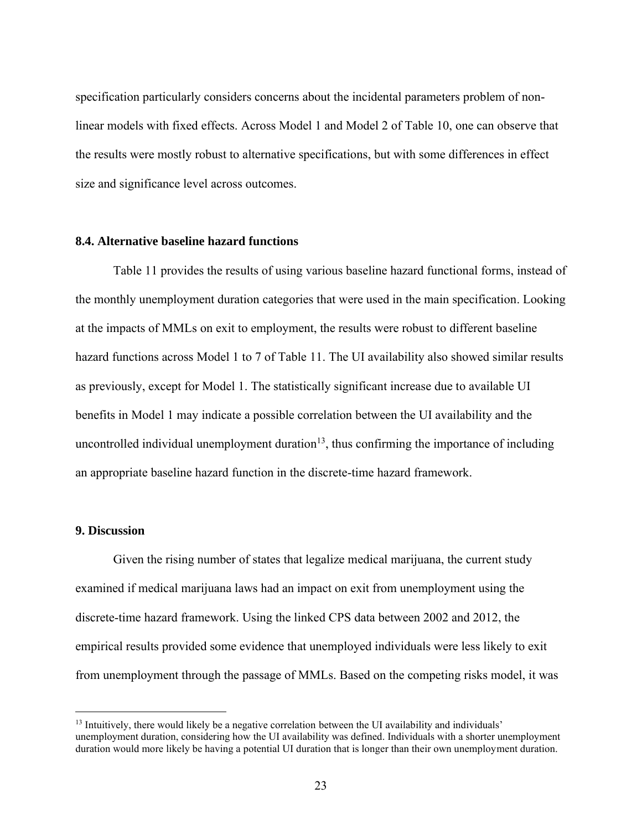specification particularly considers concerns about the incidental parameters problem of nonlinear models with fixed effects. Across Model 1 and Model 2 of Table 10, one can observe that the results were mostly robust to alternative specifications, but with some differences in effect size and significance level across outcomes.

#### **8.4. Alternative baseline hazard functions**

Table 11 provides the results of using various baseline hazard functional forms, instead of the monthly unemployment duration categories that were used in the main specification. Looking at the impacts of MMLs on exit to employment, the results were robust to different baseline hazard functions across Model 1 to 7 of Table 11. The UI availability also showed similar results as previously, except for Model 1. The statistically significant increase due to available UI benefits in Model 1 may indicate a possible correlation between the UI availability and the uncontrolled individual unemployment duration $13$ , thus confirming the importance of including an appropriate baseline hazard function in the discrete-time hazard framework.

# **9. Discussion**

Given the rising number of states that legalize medical marijuana, the current study examined if medical marijuana laws had an impact on exit from unemployment using the discrete-time hazard framework. Using the linked CPS data between 2002 and 2012, the empirical results provided some evidence that unemployed individuals were less likely to exit from unemployment through the passage of MMLs. Based on the competing risks model, it was

<sup>&</sup>lt;sup>13</sup> Intuitively, there would likely be a negative correlation between the UI availability and individuals' unemployment duration, considering how the UI availability was defined. Individuals with a shorter unemployment duration would more likely be having a potential UI duration that is longer than their own unemployment duration.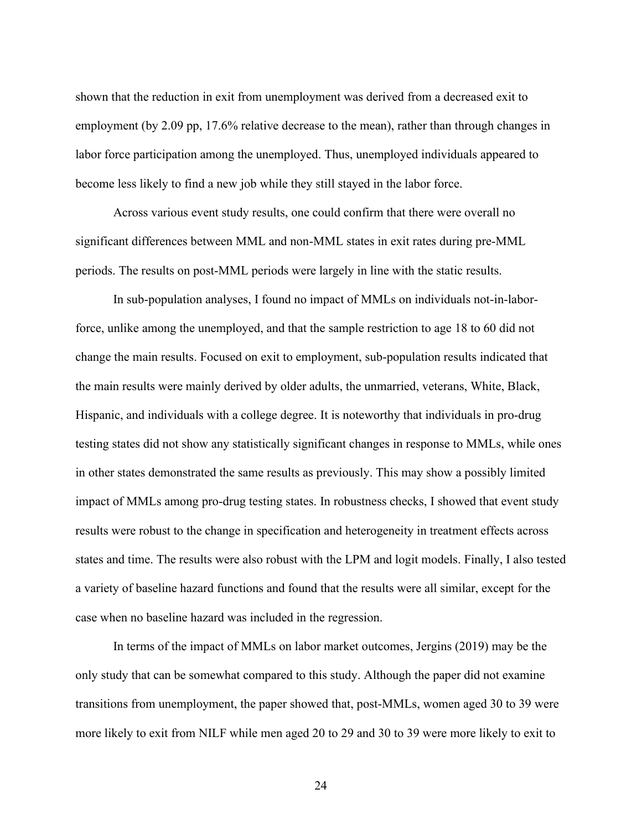shown that the reduction in exit from unemployment was derived from a decreased exit to employment (by 2.09 pp, 17.6% relative decrease to the mean), rather than through changes in labor force participation among the unemployed. Thus, unemployed individuals appeared to become less likely to find a new job while they still stayed in the labor force.

Across various event study results, one could confirm that there were overall no significant differences between MML and non-MML states in exit rates during pre-MML periods. The results on post-MML periods were largely in line with the static results.

In sub-population analyses, I found no impact of MMLs on individuals not-in-laborforce, unlike among the unemployed, and that the sample restriction to age 18 to 60 did not change the main results. Focused on exit to employment, sub-population results indicated that the main results were mainly derived by older adults, the unmarried, veterans, White, Black, Hispanic, and individuals with a college degree. It is noteworthy that individuals in pro-drug testing states did not show any statistically significant changes in response to MMLs, while ones in other states demonstrated the same results as previously. This may show a possibly limited impact of MMLs among pro-drug testing states. In robustness checks, I showed that event study results were robust to the change in specification and heterogeneity in treatment effects across states and time. The results were also robust with the LPM and logit models. Finally, I also tested a variety of baseline hazard functions and found that the results were all similar, except for the case when no baseline hazard was included in the regression.

In terms of the impact of MMLs on labor market outcomes, Jergins (2019) may be the only study that can be somewhat compared to this study. Although the paper did not examine transitions from unemployment, the paper showed that, post-MMLs, women aged 30 to 39 were more likely to exit from NILF while men aged 20 to 29 and 30 to 39 were more likely to exit to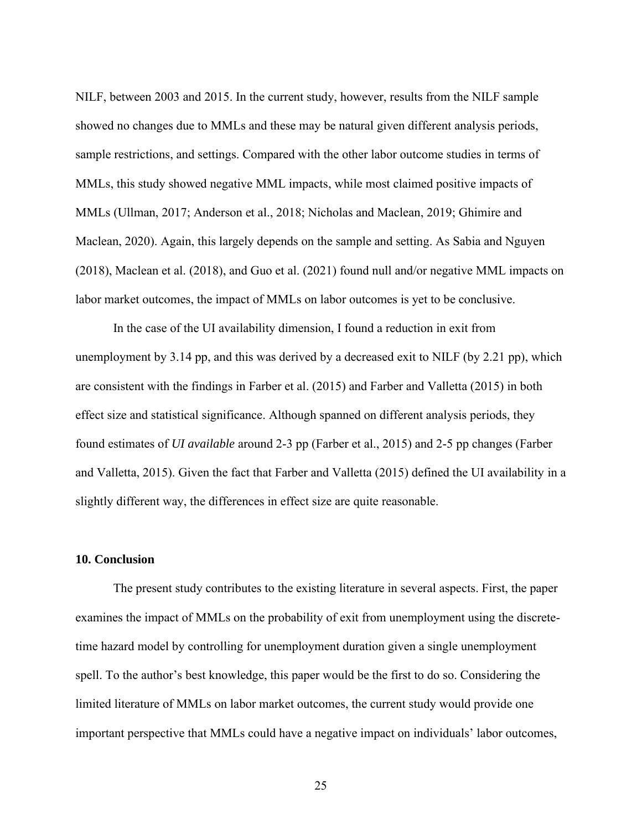NILF, between 2003 and 2015. In the current study, however, results from the NILF sample showed no changes due to MMLs and these may be natural given different analysis periods, sample restrictions, and settings. Compared with the other labor outcome studies in terms of MMLs, this study showed negative MML impacts, while most claimed positive impacts of MMLs (Ullman, 2017; Anderson et al., 2018; Nicholas and Maclean, 2019; Ghimire and Maclean, 2020). Again, this largely depends on the sample and setting. As Sabia and Nguyen (2018), Maclean et al. (2018), and Guo et al. (2021) found null and/or negative MML impacts on labor market outcomes, the impact of MMLs on labor outcomes is yet to be conclusive.

In the case of the UI availability dimension, I found a reduction in exit from unemployment by 3.14 pp, and this was derived by a decreased exit to NILF (by 2.21 pp), which are consistent with the findings in Farber et al. (2015) and Farber and Valletta (2015) in both effect size and statistical significance. Although spanned on different analysis periods, they found estimates of *UI available* around 2-3 pp (Farber et al., 2015) and 2-5 pp changes (Farber and Valletta, 2015). Given the fact that Farber and Valletta (2015) defined the UI availability in a slightly different way, the differences in effect size are quite reasonable.

# **10. Conclusion**

The present study contributes to the existing literature in several aspects. First, the paper examines the impact of MMLs on the probability of exit from unemployment using the discretetime hazard model by controlling for unemployment duration given a single unemployment spell. To the author's best knowledge, this paper would be the first to do so. Considering the limited literature of MMLs on labor market outcomes, the current study would provide one important perspective that MMLs could have a negative impact on individuals' labor outcomes,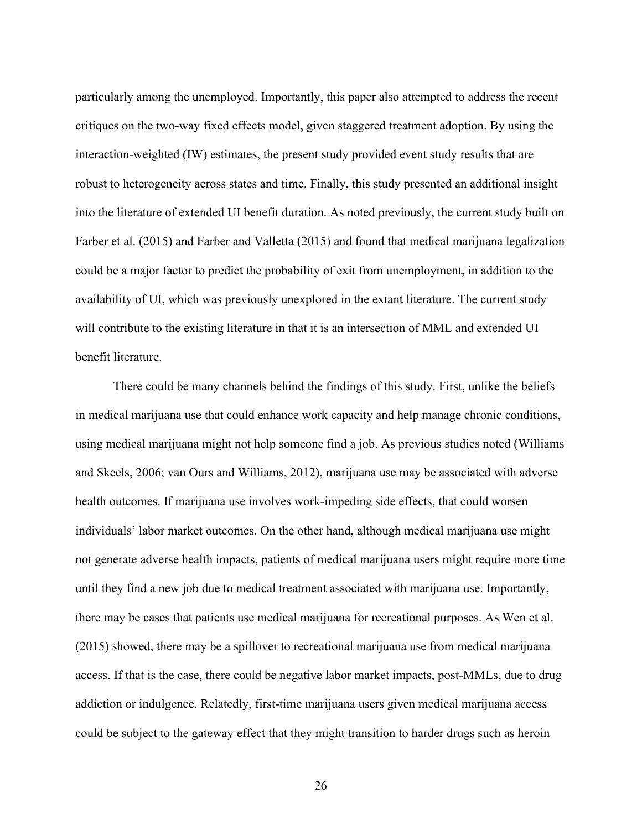particularly among the unemployed. Importantly, this paper also attempted to address the recent critiques on the two-way fixed effects model, given staggered treatment adoption. By using the interaction-weighted (IW) estimates, the present study provided event study results that are robust to heterogeneity across states and time. Finally, this study presented an additional insight into the literature of extended UI benefit duration. As noted previously, the current study built on Farber et al. (2015) and Farber and Valletta (2015) and found that medical marijuana legalization could be a major factor to predict the probability of exit from unemployment, in addition to the availability of UI, which was previously unexplored in the extant literature. The current study will contribute to the existing literature in that it is an intersection of MML and extended UI benefit literature.

There could be many channels behind the findings of this study. First, unlike the beliefs in medical marijuana use that could enhance work capacity and help manage chronic conditions, using medical marijuana might not help someone find a job. As previous studies noted (Williams and Skeels, 2006; van Ours and Williams, 2012), marijuana use may be associated with adverse health outcomes. If marijuana use involves work-impeding side effects, that could worsen individuals' labor market outcomes. On the other hand, although medical marijuana use might not generate adverse health impacts, patients of medical marijuana users might require more time until they find a new job due to medical treatment associated with marijuana use. Importantly, there may be cases that patients use medical marijuana for recreational purposes. As Wen et al. (2015) showed, there may be a spillover to recreational marijuana use from medical marijuana access. If that is the case, there could be negative labor market impacts, post-MMLs, due to drug addiction or indulgence. Relatedly, first-time marijuana users given medical marijuana access could be subject to the gateway effect that they might transition to harder drugs such as heroin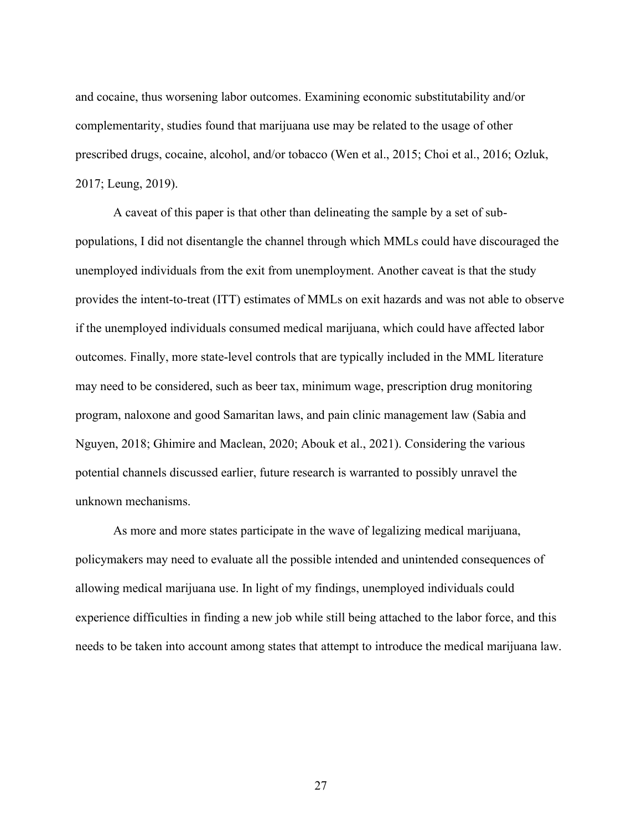and cocaine, thus worsening labor outcomes. Examining economic substitutability and/or complementarity, studies found that marijuana use may be related to the usage of other prescribed drugs, cocaine, alcohol, and/or tobacco (Wen et al., 2015; Choi et al., 2016; Ozluk, 2017; Leung, 2019).

A caveat of this paper is that other than delineating the sample by a set of subpopulations, I did not disentangle the channel through which MMLs could have discouraged the unemployed individuals from the exit from unemployment. Another caveat is that the study provides the intent-to-treat (ITT) estimates of MMLs on exit hazards and was not able to observe if the unemployed individuals consumed medical marijuana, which could have affected labor outcomes. Finally, more state-level controls that are typically included in the MML literature may need to be considered, such as beer tax, minimum wage, prescription drug monitoring program, naloxone and good Samaritan laws, and pain clinic management law (Sabia and Nguyen, 2018; Ghimire and Maclean, 2020; Abouk et al., 2021). Considering the various potential channels discussed earlier, future research is warranted to possibly unravel the unknown mechanisms.

As more and more states participate in the wave of legalizing medical marijuana, policymakers may need to evaluate all the possible intended and unintended consequences of allowing medical marijuana use. In light of my findings, unemployed individuals could experience difficulties in finding a new job while still being attached to the labor force, and this needs to be taken into account among states that attempt to introduce the medical marijuana law.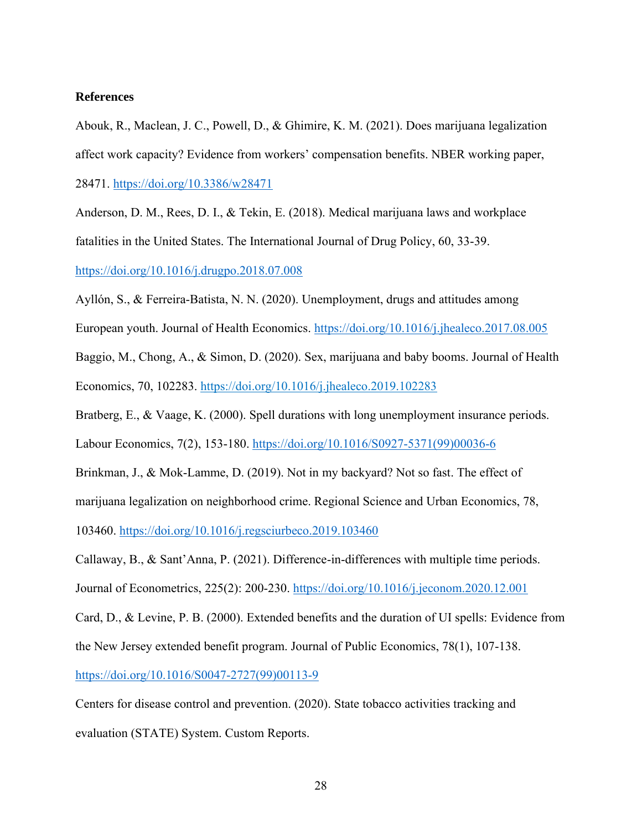## **References**

Abouk, R., Maclean, J. C., Powell, D., & Ghimire, K. M. (2021). Does marijuana legalization affect work capacity? Evidence from workers' compensation benefits. NBER working paper, 28471.<https://doi.org/10.3386/w28471>

Anderson, D. M., Rees, D. I., & Tekin, E. (2018). Medical marijuana laws and workplace fatalities in the United States. The International Journal of Drug Policy, 60, 33-39. <https://doi.org/10.1016/j.drugpo.2018.07.008>

Ayllón, S., & Ferreira-Batista, N. N. (2020). Unemployment, drugs and attitudes among

European youth. Journal of Health Economics. <https://doi.org/10.1016/j.jhealeco.2017.08.005>

Baggio, M., Chong, A., & Simon, D. (2020). Sex, marijuana and baby booms. Journal of Health Economics, 70, 102283.<https://doi.org/10.1016/j.jhealeco.2019.102283>

Bratberg, E., & Vaage, K. (2000). Spell durations with long unemployment insurance periods.

Labour Economics, 7(2), 153-180. [https://doi.org/10.1016/S0927-5371\(99\)00036-6](https://doi.org/10.1016/S0927-5371(99)00036-6)

Brinkman, J., & Mok-Lamme, D. (2019). Not in my backyard? Not so fast. The effect of

marijuana legalization on neighborhood crime. Regional Science and Urban Economics, 78,

103460.<https://doi.org/10.1016/j.regsciurbeco.2019.103460>

Callaway, B., & Sant'Anna, P. (2021). Difference-in-differences with multiple time periods.

Journal of Econometrics, 225(2): 200-230.<https://doi.org/10.1016/j.jeconom.2020.12.001>

Card, D., & Levine, P. B. (2000). Extended benefits and the duration of UI spells: Evidence from

the New Jersey extended benefit program. Journal of Public Economics, 78(1), 107-138.

[https://doi.org/10.1016/S0047-2727\(99\)00113-9](https://doi.org/10.1016/S0047-2727(99)00113-9)

Centers for disease control and prevention. (2020). State tobacco activities tracking and evaluation (STATE) System. Custom Reports.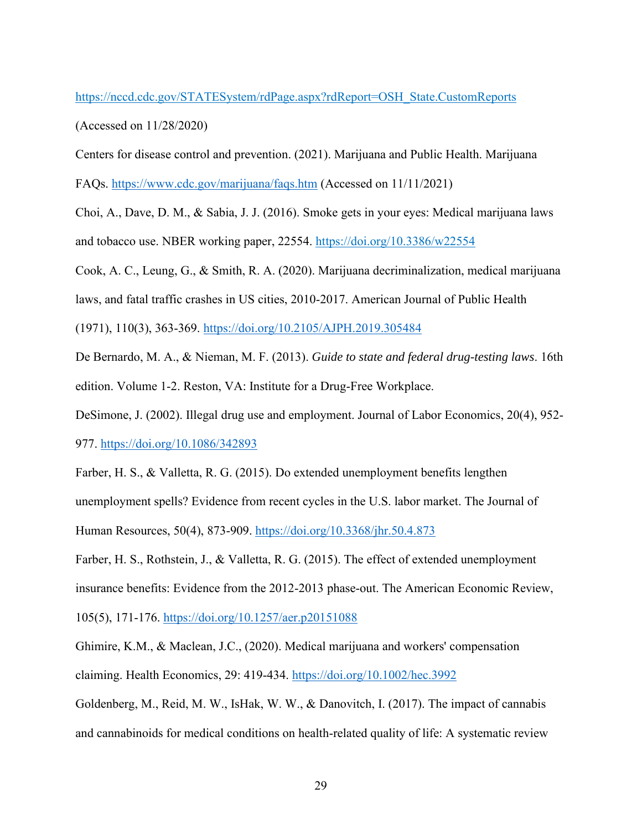# [https://nccd.cdc.gov/STATESystem/rdPage.aspx?rdReport=OSH\\_State.CustomReports](https://nccd.cdc.gov/STATESystem/rdPage.aspx?rdReport=OSH_State.CustomReports)

(Accessed on 11/28/2020)

Centers for disease control and prevention. (2021). Marijuana and Public Health. Marijuana

FAQs.<https://www.cdc.gov/marijuana/faqs.htm> (Accessed on 11/11/2021)

Choi, A., Dave, D. M., & Sabia, J. J. (2016). Smoke gets in your eyes: Medical marijuana laws and tobacco use. NBER working paper, 22554. <https://doi.org/10.3386/w22554>

Cook, A. C., Leung, G., & Smith, R. A. (2020). Marijuana decriminalization, medical marijuana

laws, and fatal traffic crashes in US cities, 2010-2017. American Journal of Public Health

(1971), 110(3), 363-369.<https://doi.org/10.2105/AJPH.2019.305484>

De Bernardo, M. A., & Nieman, M. F. (2013). *Guide to state and federal drug-testing laws*. 16th edition. Volume 1-2. Reston, VA: Institute for a Drug-Free Workplace.

DeSimone, J. (2002). Illegal drug use and employment. Journal of Labor Economics, 20(4), 952- 977.<https://doi.org/10.1086/342893>

Farber, H. S., & Valletta, R. G. (2015). Do extended unemployment benefits lengthen unemployment spells? Evidence from recent cycles in the U.S. labor market. The Journal of Human Resources, 50(4), 873-909.<https://doi.org/10.3368/jhr.50.4.873>

Farber, H. S., Rothstein, J., & Valletta, R. G. (2015). The effect of extended unemployment

insurance benefits: Evidence from the 2012-2013 phase-out. The American Economic Review,

105(5), 171-176.<https://doi.org/10.1257/aer.p20151088>

Ghimire, K.M., & Maclean, J.C., (2020). Medical marijuana and workers' compensation claiming. Health Economics, 29: 419-434.<https://doi.org/10.1002/hec.3992>

Goldenberg, M., Reid, M. W., IsHak, W. W., & Danovitch, I. (2017). The impact of cannabis and cannabinoids for medical conditions on health-related quality of life: A systematic review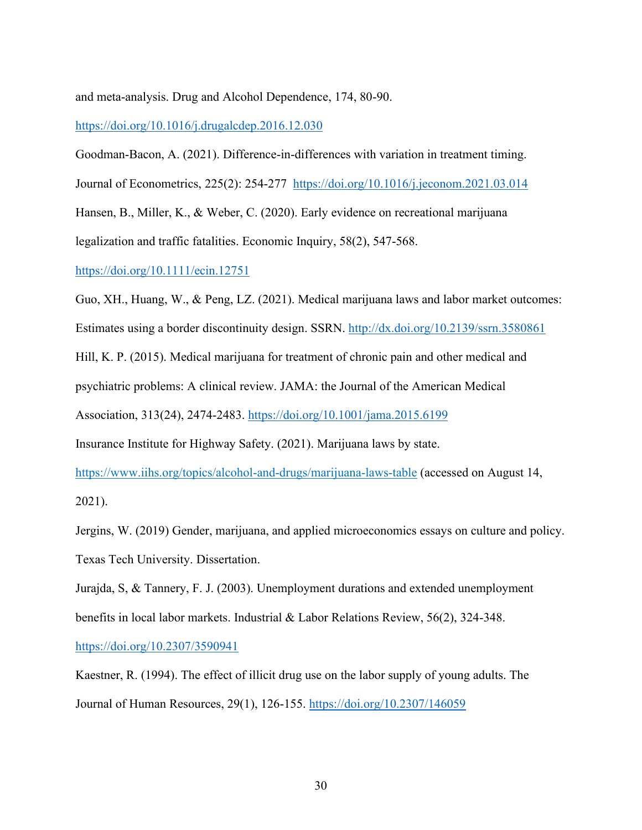and meta-analysis. Drug and Alcohol Dependence, 174, 80-90.

<https://doi.org/10.1016/j.drugalcdep.2016.12.030>

Goodman-Bacon, A. (2021). Difference-in-differences with variation in treatment timing. Journal of Econometrics, 225(2): 254-277 <https://doi.org/10.1016/j.jeconom.2021.03.014>

Hansen, B., Miller, K., & Weber, C. (2020). Early evidence on recreational marijuana

legalization and traffic fatalities. Economic Inquiry, 58(2), 547-568.

<https://doi.org/10.1111/ecin.12751>

Guo, XH., Huang, W., & Peng, LZ. (2021). Medical marijuana laws and labor market outcomes: Estimates using a border discontinuity design. SSRN.<http://dx.doi.org/10.2139/ssrn.3580861> Hill, K. P. (2015). Medical marijuana for treatment of chronic pain and other medical and psychiatric problems: A clinical review. JAMA: the Journal of the American Medical Association, 313(24), 2474-2483.<https://doi.org/10.1001/jama.2015.6199>

Insurance Institute for Highway Safety. (2021). Marijuana laws by state.

<https://www.iihs.org/topics/alcohol-and-drugs/marijuana-laws-table> (accessed on August 14, 2021).

Jergins, W. (2019) Gender, marijuana, and applied microeconomics essays on culture and policy. Texas Tech University. Dissertation.

Jurajda, S, & Tannery, F. J. (2003). Unemployment durations and extended unemployment benefits in local labor markets. Industrial & Labor Relations Review, 56(2), 324-348.

<https://doi.org/10.2307/3590941>

Kaestner, R. (1994). The effect of illicit drug use on the labor supply of young adults. The Journal of Human Resources, 29(1), 126-155.<https://doi.org/10.2307/146059>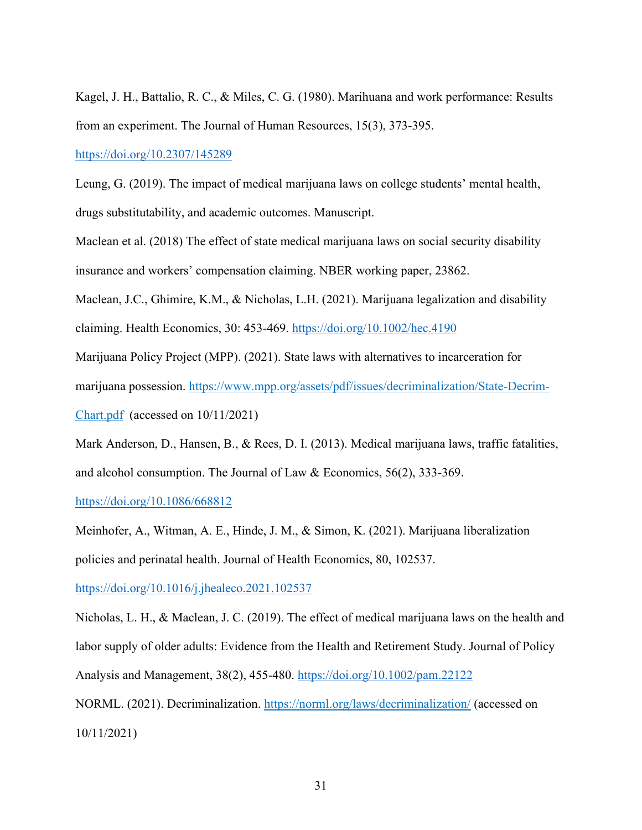Kagel, J. H., Battalio, R. C., & Miles, C. G. (1980). Marihuana and work performance: Results from an experiment. The Journal of Human Resources, 15(3), 373-395.

<https://doi.org/10.2307/145289>

Leung, G. (2019). The impact of medical marijuana laws on college students' mental health, drugs substitutability, and academic outcomes. Manuscript.

Maclean et al. (2018) The effect of state medical marijuana laws on social security disability insurance and workers' compensation claiming. NBER working paper, 23862.

Maclean, J.C., Ghimire, K.M., & Nicholas, L.H. (2021). Marijuana legalization and disability claiming. Health Economics, 30: 453-469.<https://doi.org/10.1002/hec.4190>

Marijuana Policy Project (MPP). (2021). State laws with alternatives to incarceration for marijuana possession. [https://www.mpp.org/assets/pdf/issues/decriminalization/State-Decrim-](https://www.mpp.org/assets/pdf/issues/decriminalization/State-Decrim-Chart.pdf)[Chart.pdf](https://www.mpp.org/assets/pdf/issues/decriminalization/State-Decrim-Chart.pdf) (accessed on 10/11/2021)

Mark Anderson, D., Hansen, B., & Rees, D. I. (2013). Medical marijuana laws, traffic fatalities, and alcohol consumption. The Journal of Law & Economics, 56(2), 333-369.

<https://doi.org/10.1086/668812>

Meinhofer, A., Witman, A. E., Hinde, J. M., & Simon, K. (2021). Marijuana liberalization policies and perinatal health. Journal of Health Economics, 80, 102537.

<https://doi.org/10.1016/j.jhealeco.2021.102537>

Nicholas, L. H., & Maclean, J. C. (2019). The effect of medical marijuana laws on the health and labor supply of older adults: Evidence from the Health and Retirement Study. Journal of Policy Analysis and Management, 38(2), 455-480.<https://doi.org/10.1002/pam.22122>

NORML. (2021). Decriminalization.<https://norml.org/laws/decriminalization/> (accessed on 10/11/2021)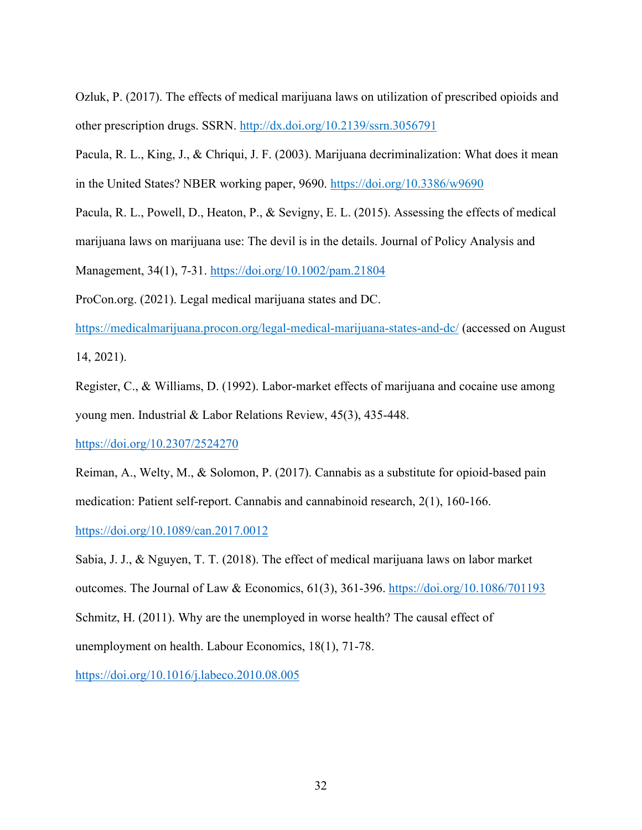Ozluk, P. (2017). The effects of medical marijuana laws on utilization of prescribed opioids and other prescription drugs. SSRN.<http://dx.doi.org/10.2139/ssrn.3056791>

Pacula, R. L., King, J., & Chriqui, J. F. (2003). Marijuana decriminalization: What does it mean in the United States? NBER working paper, 9690. <https://doi.org/10.3386/w9690>

Pacula, R. L., Powell, D., Heaton, P., & Sevigny, E. L. (2015). Assessing the effects of medical

marijuana laws on marijuana use: The devil is in the details. Journal of Policy Analysis and

Management, 34(1), 7-31.<https://doi.org/10.1002/pam.21804>

ProCon.org. (2021). Legal medical marijuana states and DC.

<https://medicalmarijuana.procon.org/legal-medical-marijuana-states-and-dc/> (accessed on August 14, 2021).

Register, C., & Williams, D. (1992). Labor-market effects of marijuana and cocaine use among young men. Industrial & Labor Relations Review, 45(3), 435-448.

<https://doi.org/10.2307/2524270>

Reiman, A., Welty, M., & Solomon, P. (2017). Cannabis as a substitute for opioid-based pain medication: Patient self-report. Cannabis and cannabinoid research, 2(1), 160-166.

<https://doi.org/10.1089/can.2017.0012>

Sabia, J. J., & Nguyen, T. T. (2018). The effect of medical marijuana laws on labor market outcomes. The Journal of Law & Economics, 61(3), 361-396.<https://doi.org/10.1086/701193> Schmitz, H. (2011). Why are the unemployed in worse health? The causal effect of unemployment on health. Labour Economics, 18(1), 71-78.

<https://doi.org/10.1016/j.labeco.2010.08.005>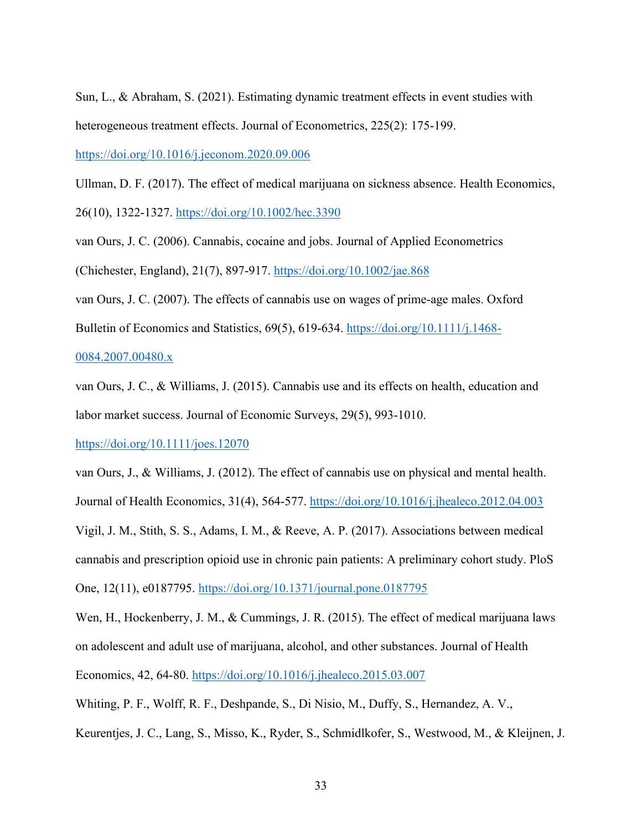Sun, L., & Abraham, S. (2021). Estimating dynamic treatment effects in event studies with heterogeneous treatment effects. Journal of Econometrics, 225(2): 175-199.

<https://doi.org/10.1016/j.jeconom.2020.09.006>

Ullman, D. F. (2017). The effect of medical marijuana on sickness absence. Health Economics,

26(10), 1322-1327.<https://doi.org/10.1002/hec.3390>

van Ours, J. C. (2006). Cannabis, cocaine and jobs. Journal of Applied Econometrics

(Chichester, England), 21(7), 897-917.<https://doi.org/10.1002/jae.868>

van Ours, J. C. (2007). The effects of cannabis use on wages of prime-age males. Oxford Bulletin of Economics and Statistics, 69(5), 619-634. [https://doi.org/10.1111/j.1468-](https://doi.org/10.1111/j.1468-0084.2007.00480.x) [0084.2007.00480.x](https://doi.org/10.1111/j.1468-0084.2007.00480.x)

# van Ours, J. C., & Williams, J. (2015). Cannabis use and its effects on health, education and

labor market success. Journal of Economic Surveys, 29(5), 993-1010.

# <https://doi.org/10.1111/joes.12070>

van Ours, J., & Williams, J. (2012). The effect of cannabis use on physical and mental health. Journal of Health Economics, 31(4), 564-577. <https://doi.org/10.1016/j.jhealeco.2012.04.003> Vigil, J. M., Stith, S. S., Adams, I. M., & Reeve, A. P. (2017). Associations between medical cannabis and prescription opioid use in chronic pain patients: A preliminary cohort study. PloS One, 12(11), e0187795.<https://doi.org/10.1371/journal.pone.0187795>

Wen, H., Hockenberry, J. M., & Cummings, J. R. (2015). The effect of medical marijuana laws on adolescent and adult use of marijuana, alcohol, and other substances. Journal of Health Economics, 42, 64-80.<https://doi.org/10.1016/j.jhealeco.2015.03.007>

Whiting, P. F., Wolff, R. F., Deshpande, S., Di Nisio, M., Duffy, S., Hernandez, A. V.,

Keurentjes, J. C., Lang, S., Misso, K., Ryder, S., Schmidlkofer, S., Westwood, M., & Kleijnen, J.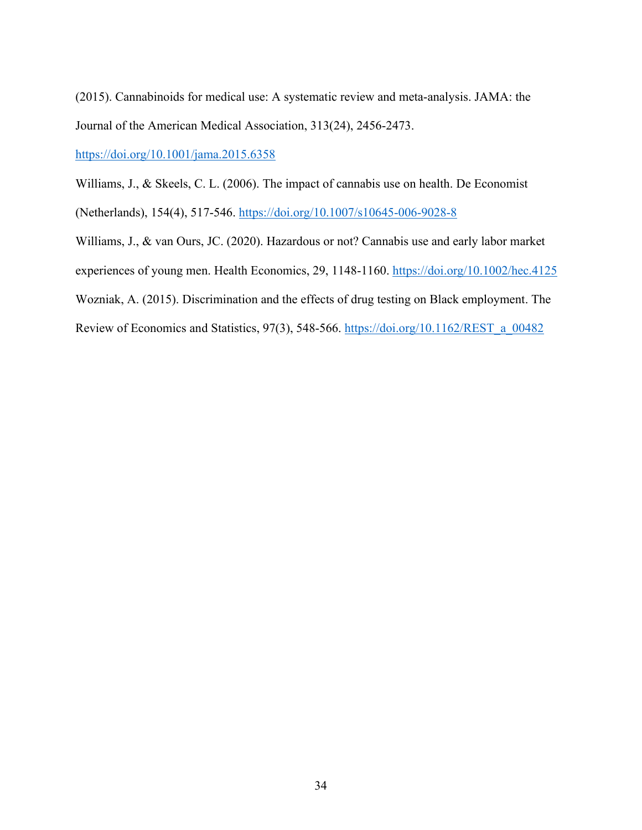(2015). Cannabinoids for medical use: A systematic review and meta-analysis. JAMA: the Journal of the American Medical Association, 313(24), 2456-2473.

<https://doi.org/10.1001/jama.2015.6358>

Williams, J., & Skeels, C. L. (2006). The impact of cannabis use on health. De Economist

(Netherlands), 154(4), 517-546.<https://doi.org/10.1007/s10645-006-9028-8>

Williams, J., & van Ours, JC. (2020). Hazardous or not? Cannabis use and early labor market experiences of young men. Health Economics, 29, 1148-1160.<https://doi.org/10.1002/hec.4125> Wozniak, A. (2015). Discrimination and the effects of drug testing on Black employment. The Review of Economics and Statistics, 97(3), 548-566. [https://doi.org/10.1162/REST\\_a\\_00482](https://doi.org/10.1162/REST_a_00482)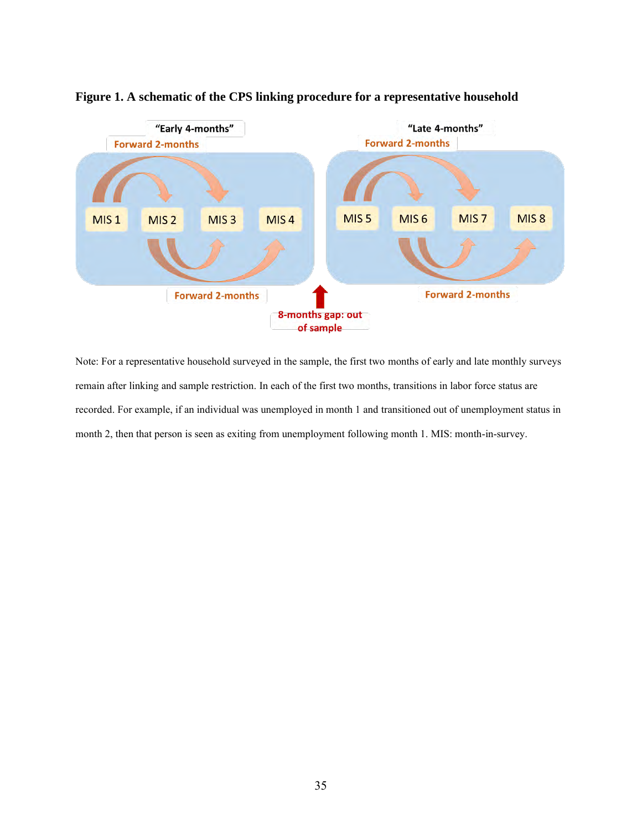

# **Figure 1. A schematic of the CPS linking procedure for a representative household**

Note: For a representative household surveyed in the sample, the first two months of early and late monthly surveys remain after linking and sample restriction. In each of the first two months, transitions in labor force status are recorded. For example, if an individual was unemployed in month 1 and transitioned out of unemployment status in month 2, then that person is seen as exiting from unemployment following month 1. MIS: month-in-survey.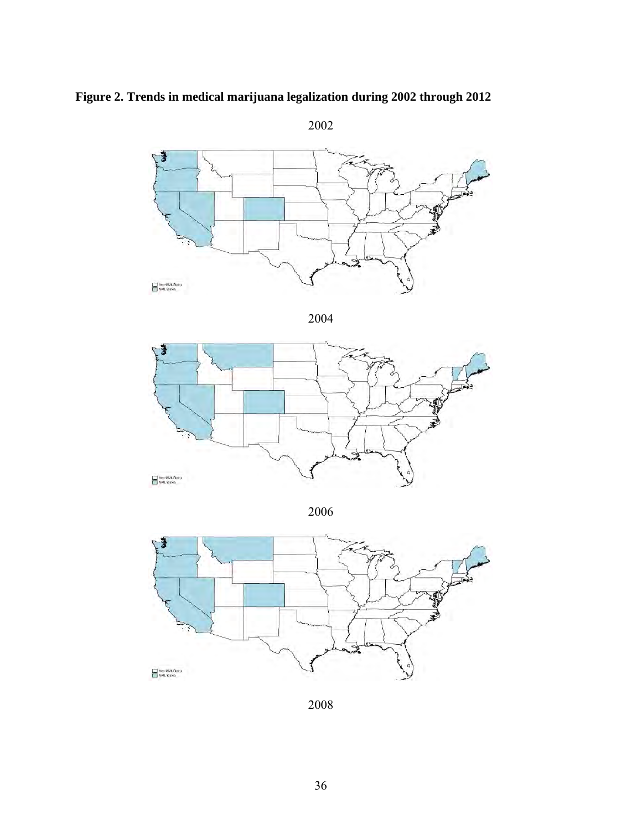

**Figure 2. Trends in medical marijuana legalization during 2002 through 2012**



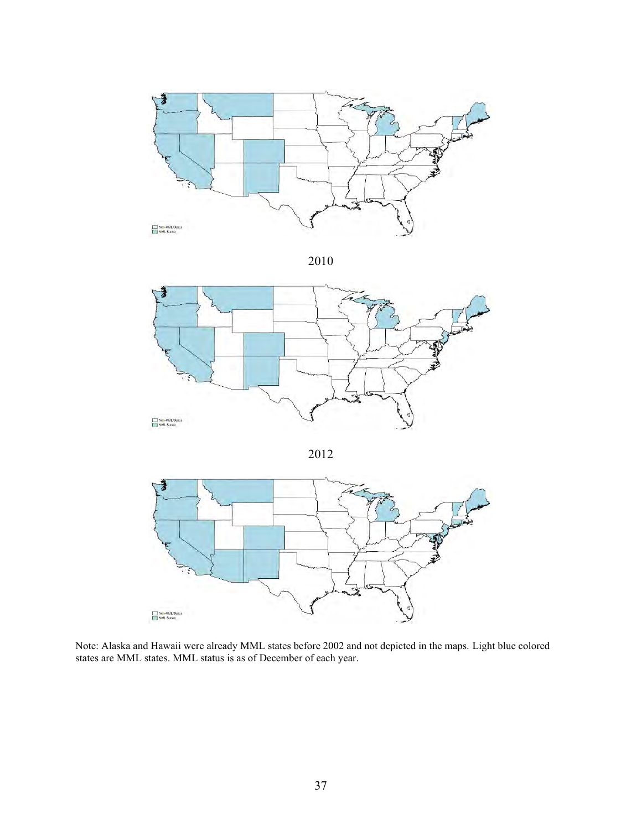







Note: Alaska and Hawaii were already MML states before 2002 and not depicted in the maps. Light blue colored states are MML states. MML status is as of December of each year.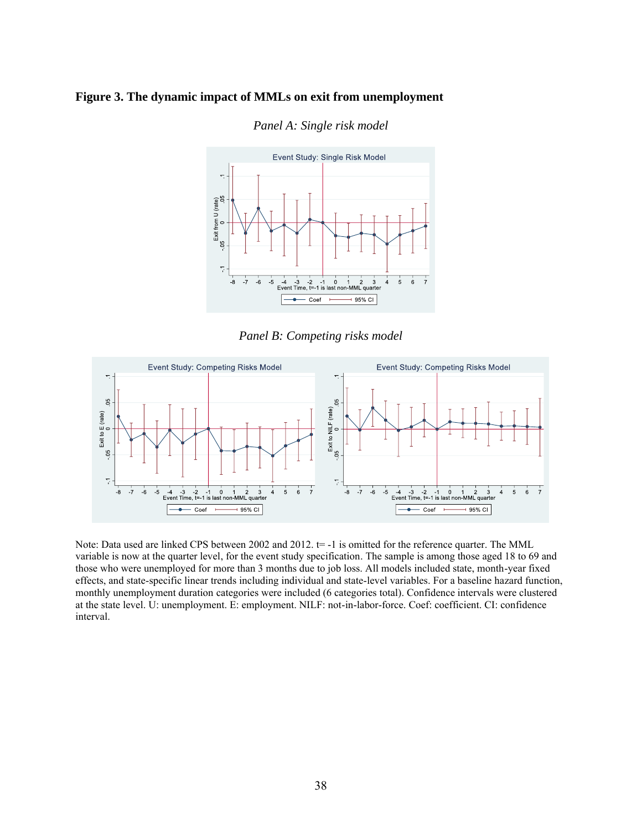#### **Figure 3. The dynamic impact of MMLs on exit from unemployment**



#### *Panel A: Single risk model*

*Panel B: Competing risks model*



Note: Data used are linked CPS between 2002 and 2012.  $t = -1$  is omitted for the reference quarter. The MML variable is now at the quarter level, for the event study specification. The sample is among those aged 18 to 69 and those who were unemployed for more than 3 months due to job loss. All models included state, month-year fixed effects, and state-specific linear trends including individual and state-level variables. For a baseline hazard function, monthly unemployment duration categories were included (6 categories total). Confidence intervals were clustered at the state level. U: unemployment. E: employment. NILF: not-in-labor-force. Coef: coefficient. CI: confidence interval.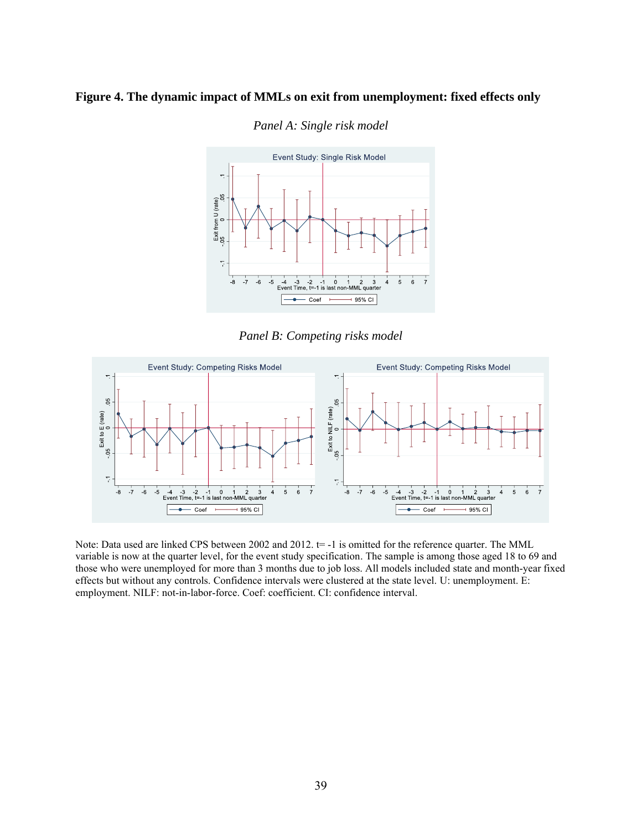#### **Figure 4. The dynamic impact of MMLs on exit from unemployment: fixed effects only**



*Panel A: Single risk model*

*Panel B: Competing risks model*



Note: Data used are linked CPS between 2002 and 2012.  $t=$  -1 is omitted for the reference quarter. The MML variable is now at the quarter level, for the event study specification. The sample is among those aged 18 to 69 and those who were unemployed for more than 3 months due to job loss. All models included state and month-year fixed effects but without any controls. Confidence intervals were clustered at the state level. U: unemployment. E: employment. NILF: not-in-labor-force. Coef: coefficient. CI: confidence interval.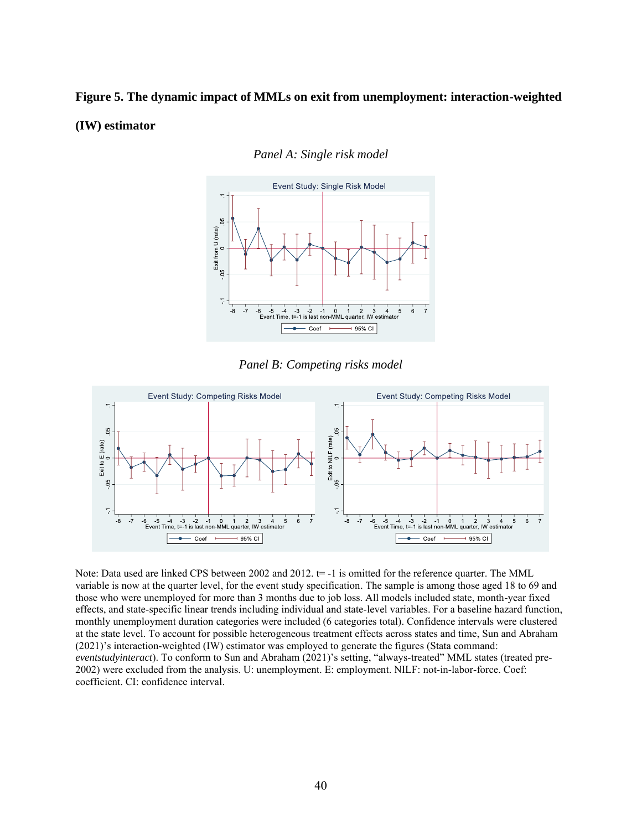# **Figure 5. The dynamic impact of MMLs on exit from unemployment: interaction-weighted (IW) estimator**



*Panel A: Single risk model*

*Panel B: Competing risks model*



Note: Data used are linked CPS between 2002 and 2012.  $t=$  -1 is omitted for the reference quarter. The MML variable is now at the quarter level, for the event study specification. The sample is among those aged 18 to 69 and those who were unemployed for more than 3 months due to job loss. All models included state, month-year fixed effects, and state-specific linear trends including individual and state-level variables. For a baseline hazard function, monthly unemployment duration categories were included (6 categories total). Confidence intervals were clustered at the state level. To account for possible heterogeneous treatment effects across states and time, Sun and Abraham (2021)'s interaction-weighted (IW) estimator was employed to generate the figures (Stata command: *eventstudyinteract*). To conform to Sun and Abraham (2021)'s setting, "always-treated" MML states (treated pre-2002) were excluded from the analysis. U: unemployment. E: employment. NILF: not-in-labor-force. Coef: coefficient. CI: confidence interval.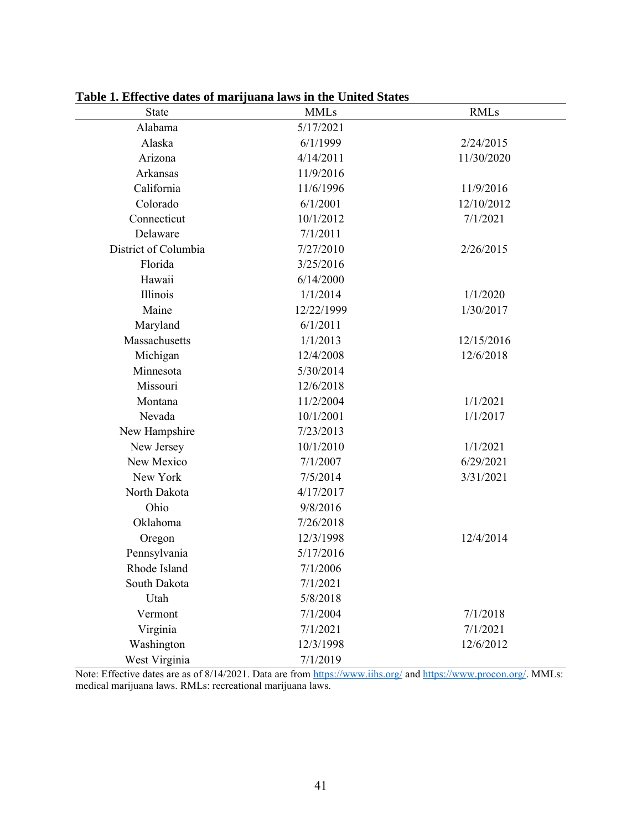| State                | <b>MMLs</b> | <b>RMLs</b> |
|----------------------|-------------|-------------|
| Alabama              | 5/17/2021   |             |
| Alaska               | 6/1/1999    | 2/24/2015   |
| Arizona              | 4/14/2011   | 11/30/2020  |
| Arkansas             | 11/9/2016   |             |
| California           | 11/6/1996   | 11/9/2016   |
| Colorado             | 6/1/2001    | 12/10/2012  |
| Connecticut          | 10/1/2012   | 7/1/2021    |
| Delaware             | 7/1/2011    |             |
| District of Columbia | 7/27/2010   | 2/26/2015   |
| Florida              | 3/25/2016   |             |
| Hawaii               | 6/14/2000   |             |
| Illinois             | 1/1/2014    | 1/1/2020    |
| Maine                | 12/22/1999  | 1/30/2017   |
| Maryland             | 6/1/2011    |             |
| Massachusetts        | 1/1/2013    | 12/15/2016  |
| Michigan             | 12/4/2008   | 12/6/2018   |
| Minnesota            | 5/30/2014   |             |
| Missouri             | 12/6/2018   |             |
| Montana              | 11/2/2004   | 1/1/2021    |
| Nevada               | 10/1/2001   | 1/1/2017    |
| New Hampshire        | 7/23/2013   |             |
| New Jersey           | 10/1/2010   | 1/1/2021    |
| New Mexico           | 7/1/2007    | 6/29/2021   |
| New York             | 7/5/2014    | 3/31/2021   |
| North Dakota         | 4/17/2017   |             |
| Ohio                 | 9/8/2016    |             |
| Oklahoma             | 7/26/2018   |             |
| Oregon               | 12/3/1998   | 12/4/2014   |
| Pennsylvania         | 5/17/2016   |             |
| Rhode Island         | 7/1/2006    |             |
| South Dakota         | 7/1/2021    |             |
| Utah                 | 5/8/2018    |             |
| Vermont              | 7/1/2004    | 7/1/2018    |
| Virginia             | 7/1/2021    | 7/1/2021    |
| Washington           | 12/3/1998   | 12/6/2012   |
| West Virginia        | 7/1/2019    |             |

**Table 1. Effective dates of marijuana laws in the United States**

Note: Effective dates are as of 8/14/2021. Data are from<https://www.iihs.org/> an[d https://www.procon.org/.](https://www.procon.org/) MMLs: medical marijuana laws. RMLs: recreational marijuana laws.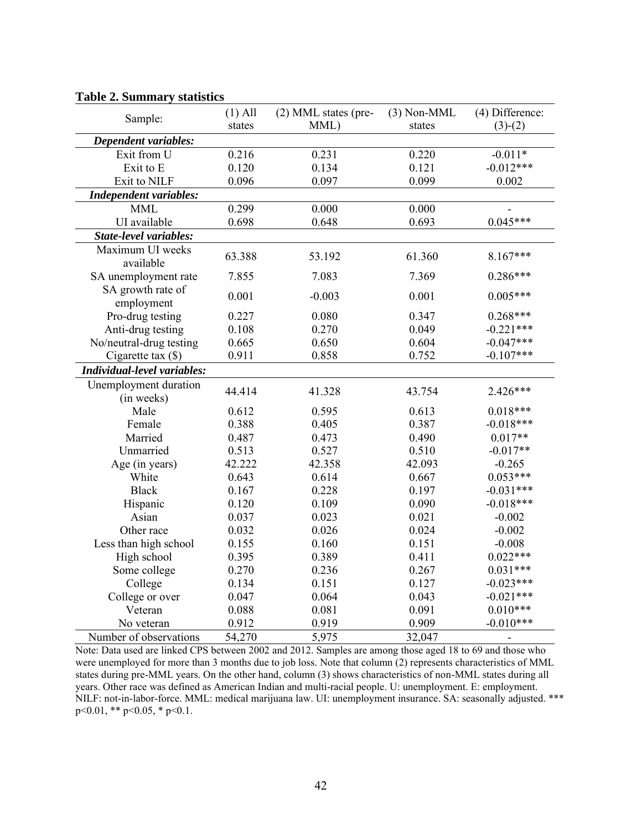| Sample:                             | $(1)$ All | (2) MML states (pre- | $(3)$ Non-MML | (4) Difference:              |
|-------------------------------------|-----------|----------------------|---------------|------------------------------|
|                                     | states    | MML)                 | states        | $(3)-(2)$                    |
| Dependent variables:                |           |                      |               |                              |
| Exit from $\overline{U}$            | 0.216     | $\overline{0.231}$   | 0.220         | $-0.011*$                    |
| Exit to E                           | 0.120     | 0.134                | 0.121         | $-0.012***$                  |
| Exit to NILF                        | 0.096     | 0.097                | 0.099         | 0.002                        |
| <b>Independent variables:</b>       |           |                      |               |                              |
| <b>MML</b>                          | 0.299     | 0.000                | 0.000         |                              |
| UI available                        | 0.698     | 0.648                | 0.693         | $0.045***$                   |
| State-level variables:              |           |                      |               |                              |
| Maximum UI weeks<br>available       | 63.388    | 53.192               | 61.360        | $8.167***$                   |
| SA unemployment rate                | 7.855     | 7.083                | 7.369         | $0.286***$                   |
| SA growth rate of<br>employment     | 0.001     | $-0.003$             | 0.001         | $0.005***$                   |
| Pro-drug testing                    | 0.227     | 0.080                | 0.347         | $0.268***$                   |
| Anti-drug testing                   | 0.108     | 0.270                | 0.049         | $-0.221***$                  |
| No/neutral-drug testing             | 0.665     | 0.650                | 0.604         | $-0.047***$                  |
| Cigarette tax $(\$)$                | 0.911     | 0.858                | 0.752         | $-0.107***$                  |
| Individual-level variables:         |           |                      |               |                              |
| Unemployment duration<br>(in weeks) | 44.414    | 41.328               | 43.754        | 2.426***                     |
| Male                                | 0.612     | 0.595                | 0.613         | $0.018***$                   |
| Female                              | 0.388     | 0.405                | 0.387         | $-0.018***$                  |
| Married                             | 0.487     | 0.473                | 0.490         | $0.017**$                    |
| Unmarried                           | 0.513     | 0.527                | 0.510         | $-0.017**$                   |
| Age (in years)                      | 42.222    | 42.358               | 42.093        | $-0.265$                     |
| White                               | 0.643     | 0.614                | 0.667         | $0.053***$                   |
| <b>Black</b>                        | 0.167     | 0.228                | 0.197         | $-0.031***$                  |
| Hispanic                            | 0.120     | 0.109                | 0.090         | $-0.018***$                  |
| Asian                               | 0.037     | 0.023                | 0.021         | $-0.002$                     |
| Other race                          | 0.032     | 0.026                | 0.024         | $-0.002$                     |
| Less than high school               | 0.155     | 0.160                | 0.151         | $-0.008$                     |
| High school                         | 0.395     | 0.389                | 0.411         | $0.022***$                   |
| Some college                        | 0.270     | 0.236                | 0.267         | $0.031***$                   |
| College                             | 0.134     | 0.151                | 0.127         | $-0.023***$                  |
| College or over                     | 0.047     | 0.064                | 0.043         | $-0.021***$                  |
| Veteran                             | 0.088     | 0.081                | 0.091         | $0.010***$                   |
| No veteran                          | 0.912     | 0.919                | 0.909         | $-0.010***$                  |
| Number of observations              | 54,270    | 5,975                | 32,047        | $\qquad \qquad \blacksquare$ |

#### **Table 2. Summary statistics**

Note: Data used are linked CPS between 2002 and 2012. Samples are among those aged 18 to 69 and those who were unemployed for more than 3 months due to job loss. Note that column (2) represents characteristics of MML states during pre-MML years. On the other hand, column (3) shows characteristics of non-MML states during all years. Other race was defined as American Indian and multi-racial people. U: unemployment. E: employment. NILF: not-in-labor-force. MML: medical marijuana law. UI: unemployment insurance. SA: seasonally adjusted. \*\*\*  $p \le 0.01$ , \*\*  $p \le 0.05$ , \*  $p \le 0.1$ .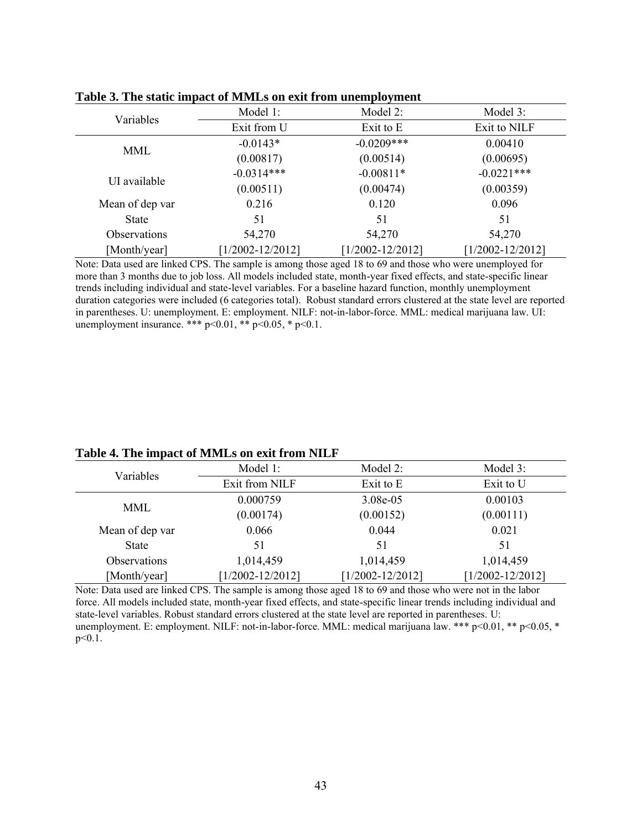| Variables       | Model 1:             | Model 2:             | Model 3:             |
|-----------------|----------------------|----------------------|----------------------|
|                 | Exit from U          | Exit to E            | Exit to NILF         |
|                 | $-0.0143*$           | $-0.0209***$         | 0.00410              |
| <b>MML</b>      | (0.00817)            | (0.00514)            | (0.00695)            |
|                 | $-0.0314***$         | $-0.00811*$          | $-0.0221***$         |
| UI available    | (0.00511)            | (0.00474)            | (0.00359)            |
| Mean of dep var | 0.216                | 0.120                | 0.096                |
| <b>State</b>    | 51                   | 51                   | 51                   |
| Observations    | 54,270               | 54,270               | 54,270               |
| [Month/year]    | $[1/2002 - 12/2012]$ | $[1/2002 - 12/2012]$ | $[1/2002 - 12/2012]$ |

**Table 3. The static impact of MMLs on exit from unemployment**

Note: Data used are linked CPS. The sample is among those aged 18 to 69 and those who were unemployed for more than 3 months due to job loss. All models included state, month-year fixed effects, and state-specific linear trends including individual and state-level variables. For a baseline hazard function, monthly unemployment duration categories were included (6 categories total). Robust standard errors clustered at the state level are reported in parentheses. U: unemployment. E: employment. NILF: not-in-labor-force. MML: medical marijuana law. UI: unemployment insurance. \*\*\*  $p<0.01$ , \*\*  $p<0.05$ , \*  $p<0.1$ .

| Table 4. The impact of MMLs on exit from NILF |  |  |
|-----------------------------------------------|--|--|
|-----------------------------------------------|--|--|

| Variables           | Model 1:             | Model 2:             | Model 3:             |
|---------------------|----------------------|----------------------|----------------------|
|                     | Exit from NILF       | Exit to E            | Exit to U            |
| <b>MML</b>          | 0.000759             | 3.08e-05             | 0.00103              |
|                     | (0.00174)            | (0.00152)            | (0.00111)            |
| Mean of dep var     | 0.066                | 0.044                | 0.021                |
| <b>State</b>        | 51                   | 51                   | 51                   |
| <b>Observations</b> | 1,014,459            | 1,014,459            | 1,014,459            |
| [Month/year]        | $[1/2002 - 12/2012]$ | $[1/2002 - 12/2012]$ | $[1/2002 - 12/2012]$ |

Note: Data used are linked CPS. The sample is among those aged 18 to 69 and those who were not in the labor force. All models included state, month-year fixed effects, and state-specific linear trends including individual and state-level variables. Robust standard errors clustered at the state level are reported in parentheses. U: unemployment. E: employment. NILF: not-in-labor-force. MML: medical marijuana law. \*\*\* p<0.01, \*\* p<0.05, \* p<0.1.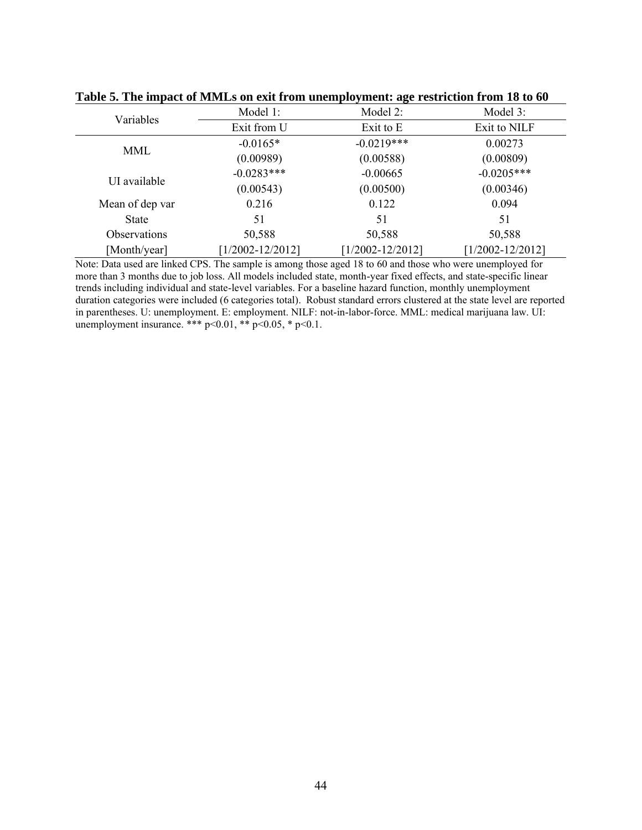| Variables       | Model 1:             | Model 2:             | Model 3:             |
|-----------------|----------------------|----------------------|----------------------|
|                 | Exit from U          | Exit to E            | Exit to NILF         |
|                 | $-0.0165*$           | $-0.0219***$         | 0.00273              |
| MML             | (0.00989)            | (0.00588)            | (0.00809)            |
|                 | $-0.0283***$         | $-0.00665$           | $-0.0205***$         |
| UI available    | (0.00543)            | (0.00500)            | (0.00346)            |
| Mean of dep var | 0.216                | 0.122                | 0.094                |
| <b>State</b>    | 51                   | 51                   | 51                   |
| Observations    | 50,588               | 50,588               | 50,588               |
| [Month/year]    | $[1/2002 - 12/2012]$ | $[1/2002 - 12/2012]$ | $[1/2002 - 12/2012]$ |

**Table 5. The impact of MMLs on exit from unemployment: age restriction from 18 to 60**

Note: Data used are linked CPS. The sample is among those aged 18 to 60 and those who were unemployed for more than 3 months due to job loss. All models included state, month-year fixed effects, and state-specific linear trends including individual and state-level variables. For a baseline hazard function, monthly unemployment duration categories were included (6 categories total). Robust standard errors clustered at the state level are reported in parentheses. U: unemployment. E: employment. NILF: not-in-labor-force. MML: medical marijuana law. UI: unemployment insurance. \*\*\*  $p<0.01$ , \*\*  $p<0.05$ , \*  $p<0.1$ .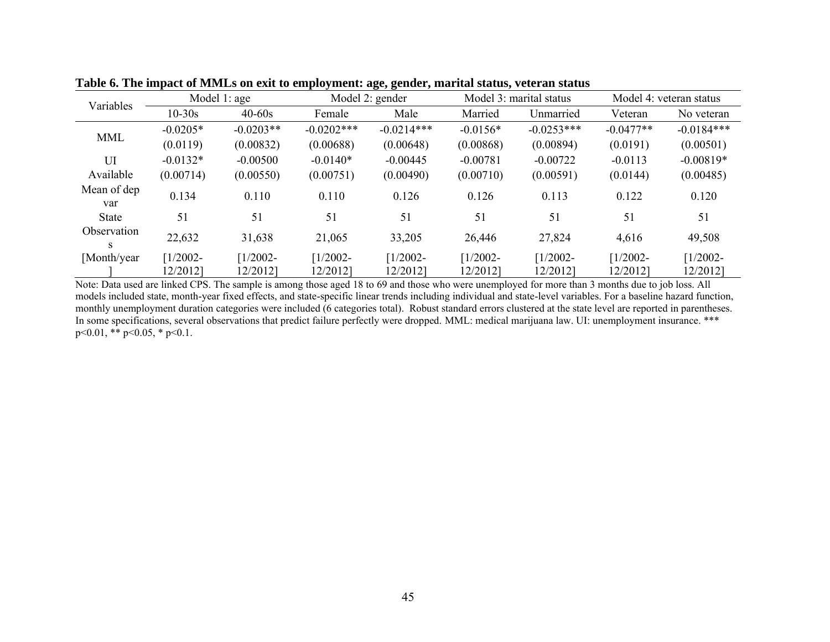|                    | Model $1:age$<br>Variables |                        | Model 2: gender        |                        | Model 3: marital status |                        | Model 4: veteran status |                        |
|--------------------|----------------------------|------------------------|------------------------|------------------------|-------------------------|------------------------|-------------------------|------------------------|
|                    | $10 - 30s$                 | $40 - 60s$             | Female                 | Male                   | Married                 | Unmarried              | Veteran                 | No veteran             |
| <b>MML</b>         | $-0.0205*$                 | $-0.0203**$            | $-0.0202$ ***          | $-0.0214***$           | $-0.0156*$              | $-0.0253***$           | $-0.0477**$             | $-0.0184***$           |
|                    | (0.0119)                   | (0.00832)              | (0.00688)              | (0.00648)              | (0.00868)               | (0.00894)              | (0.0191)                | (0.00501)              |
| UI                 | $-0.0132*$                 | $-0.00500$             | $-0.0140*$             | $-0.00445$             | $-0.00781$              | $-0.00722$             | $-0.0113$               | $-0.00819*$            |
| Available          | (0.00714)                  | (0.00550)              | (0.00751)              | (0.00490)              | (0.00710)               | (0.00591)              | (0.0144)                | (0.00485)              |
| Mean of dep<br>var | 0.134                      | 0.110                  | 0.110                  | 0.126                  | 0.126                   | 0.113                  | 0.122                   | 0.120                  |
| <b>State</b>       | 51                         | 51                     | 51                     | 51                     | 51                      | 51                     | 51                      | 51                     |
| Observation<br>S   | 22,632                     | 31,638                 | 21,065                 | 33,205                 | 26,446                  | 27,824                 | 4,616                   | 49,508                 |
| [Month/year]       | $[1/2002 -$<br>12/2012]    | $1/2002 -$<br>12/20121 | $1/2002 -$<br>12/2012] | $1/2002 -$<br>12/2012] | $1/2002 -$<br>12/20121  | $1/2002 -$<br>12/20121 | $[1/2002 -$<br>12/2012] | $1/2002 -$<br>12/2012] |

**Table 6. The impact of MMLs on exit to employment: age, gender, marital status, veteran status**

Note: Data used are linked CPS. The sample is among those aged 18 to 69 and those who were unemployed for more than 3 months due to job loss. All models included state, month-year fixed effects, and state-specific linear trends including individual and state-level variables. For a baseline hazard function, monthly unemployment duration categories were included (6 categories total). Robust standard errors clustered at the state level are reported in parentheses. In some specifications, several observations that predict failure perfectly were dropped. MML: medical marijuana law. UI: unemployment insurance. \*\*\*  $p<0.01$ , \*\*  $p<0.05$ , \*  $p<0.1$ .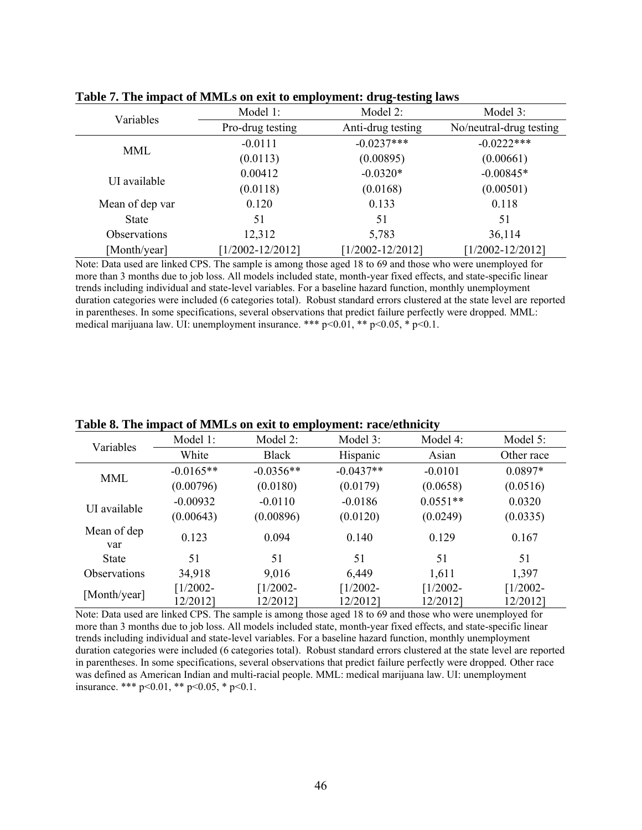| Variables           | Model 1:             | Model 2:             | Model 3:                |
|---------------------|----------------------|----------------------|-------------------------|
|                     | Pro-drug testing     | Anti-drug testing    | No/neutral-drug testing |
| <b>MML</b>          | $-0.0111$            | $-0.0237***$         | $-0.0222***$            |
|                     | (0.0113)             | (0.00895)            | (0.00661)               |
| UI available        | 0.00412              | $-0.0320*$           | $-0.00845*$             |
|                     | (0.0118)             | (0.0168)             | (0.00501)               |
| Mean of dep var     | 0.120                | 0.133                | 0.118                   |
| <b>State</b>        | 51                   | 51                   | 51                      |
| <b>Observations</b> | 12,312               | 5,783                | 36,114                  |
| [Month/year]        | $[1/2002 - 12/2012]$ | $[1/2002 - 12/2012]$ | $[1/2002 - 12/2012]$    |

**Table 7. The impact of MMLs on exit to employment: drug-testing laws**

Note: Data used are linked CPS. The sample is among those aged 18 to 69 and those who were unemployed for more than 3 months due to job loss. All models included state, month-year fixed effects, and state-specific linear trends including individual and state-level variables. For a baseline hazard function, monthly unemployment duration categories were included (6 categories total). Robust standard errors clustered at the state level are reported in parentheses. In some specifications, several observations that predict failure perfectly were dropped. MML: medical marijuana law. UI: unemployment insurance. \*\*\*  $p \le 0.01$ , \*\*  $p \le 0.05$ , \*  $p \le 0.1$ .

| Variables           | Model 1:               | Model 2:               | Model 3:               | Model 4:                | Model 5:               |
|---------------------|------------------------|------------------------|------------------------|-------------------------|------------------------|
|                     | White                  | <b>Black</b>           | Hispanic               | Asian                   | Other race             |
|                     | $-0.0165**$            | $-0.0356**$            | $-0.0437**$            | $-0.0101$               | $0.0897*$              |
| <b>MML</b>          | (0.00796)              | (0.0180)               | (0.0179)               | (0.0658)                | (0.0516)               |
| UI available        | $-0.00932$             | $-0.0110$              | $-0.0186$              | $0.0551**$              | 0.0320                 |
|                     | (0.00643)              | (0.00896)              | (0.0120)               | (0.0249)                | (0.0335)               |
| Mean of dep<br>var  | 0.123                  | 0.094                  | 0.140                  | 0.129                   | 0.167                  |
| <b>State</b>        | 51                     | 51                     | 51                     | 51                      | 51                     |
| <b>Observations</b> | 34,918                 | 9,016                  | 6,449                  | 1,611                   | 1,397                  |
| [Month/year]        | $1/2002 -$<br>12/2012] | $1/2002 -$<br>12/20121 | $1/2002 -$<br>12/2012] | $[1/2002 -$<br>12/20121 | $1/2002 -$<br>12/2012] |

**Table 8. The impact of MMLs on exit to employment: race/ethnicity**

Note: Data used are linked CPS. The sample is among those aged 18 to 69 and those who were unemployed for more than 3 months due to job loss. All models included state, month-year fixed effects, and state-specific linear trends including individual and state-level variables. For a baseline hazard function, monthly unemployment duration categories were included (6 categories total). Robust standard errors clustered at the state level are reported in parentheses. In some specifications, several observations that predict failure perfectly were dropped. Other race was defined as American Indian and multi-racial people. MML: medical marijuana law. UI: unemployment insurance. \*\*\* p<0.01, \*\* p<0.05, \* p<0.1.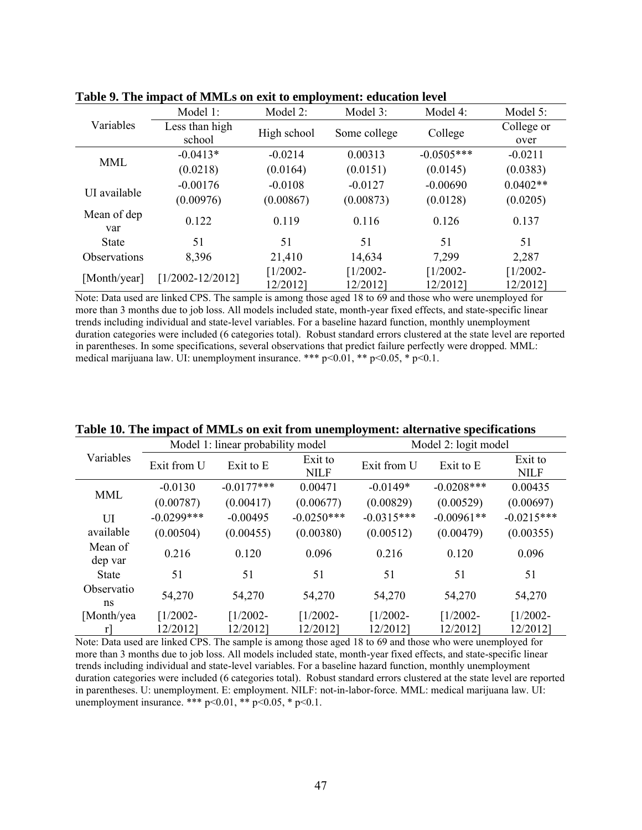|                     | Model 1:             | Model 2:               | Model 3:               | Model 4:                | Model 5:               |
|---------------------|----------------------|------------------------|------------------------|-------------------------|------------------------|
| Variables           | Less than high       | High school            | Some college           | College                 | College or             |
|                     | school               |                        |                        |                         | over                   |
| MML                 | $-0.0413*$           | $-0.0214$              | 0.00313                | $-0.0505***$            | $-0.0211$              |
|                     | (0.0218)             | (0.0164)               | (0.0151)               | (0.0145)                | (0.0383)               |
| UI available        | $-0.00176$           | $-0.0108$              | $-0.0127$              | $-0.00690$              | $0.0402**$             |
|                     | (0.00976)            | (0.00867)              | (0.00873)              | (0.0128)                | (0.0205)               |
| Mean of dep<br>var  | 0.122                | 0.119                  | 0.116                  | 0.126                   | 0.137                  |
| <b>State</b>        | 51                   | 51                     | 51                     | 51                      | 51                     |
| <b>Observations</b> | 8,396                | 21,410                 | 14,634                 | 7,299                   | 2,287                  |
| [Month/year]        | $[1/2002 - 12/2012]$ | $1/2002 -$<br>12/2012] | $1/2002 -$<br>12/2012] | $[1/2002 -$<br>12/2012] | $1/2002 -$<br>12/2012] |

**Table 9. The impact of MMLs on exit to employment: education level**

Note: Data used are linked CPS. The sample is among those aged 18 to 69 and those who were unemployed for more than 3 months due to job loss. All models included state, month-year fixed effects, and state-specific linear trends including individual and state-level variables. For a baseline hazard function, monthly unemployment duration categories were included (6 categories total). Robust standard errors clustered at the state level are reported in parentheses. In some specifications, several observations that predict failure perfectly were dropped. MML: medical marijuana law. UI: unemployment insurance. \*\*\*  $p<0.01$ , \*\*  $p<0.05$ , \*  $p<0.1$ .

|                    |               | Model 1: linear probability model |                        | Model 2: logit model |              |                        |
|--------------------|---------------|-----------------------------------|------------------------|----------------------|--------------|------------------------|
| Variables          | Exit from U   | Exit to E                         | Exit to<br><b>NILF</b> | Exit from U          | Exit to E    | Exit to<br><b>NILF</b> |
| MML                | $-0.0130$     | $-0.0177***$                      | 0.00471                | $-0.0149*$           | $-0.0208***$ | 0.00435                |
|                    | (0.00787)     | (0.00417)                         | (0.00677)              | (0.00829)            | (0.00529)    | (0.00697)              |
| UI                 | $-0.0299$ *** | $-0.00495$                        | $-0.0250***$           | $-0.0315***$         | $-0.00961**$ | $-0.0215***$           |
| available          | (0.00504)     | (0.00455)                         | (0.00380)              | (0.00512)            | (0.00479)    | (0.00355)              |
| Mean of<br>dep var | 0.216         | 0.120                             | 0.096                  | 0.216                | 0.120        | 0.096                  |
| <b>State</b>       | 51            | 51                                | 51                     | 51                   | 51           | 51                     |
| Observatio<br>ns   | 54,270        | 54,270                            | 54,270                 | 54,270               | 54,270       | 54,270                 |
| [Month/yea         | $[1/2002 -$   | $1/2002 -$                        | $1/2002 -$             | $[1/2002 -$          | $1/2002 -$   | $1/2002 -$             |
| r                  | 12/2012]      | 12/2012]                          | 12/20121               | 12/2012]             | 12/20121     | 12/2012]               |

**Table 10. The impact of MMLs on exit from unemployment: alternative specifications**

Note: Data used are linked CPS. The sample is among those aged 18 to 69 and those who were unemployed for more than 3 months due to job loss. All models included state, month-year fixed effects, and state-specific linear trends including individual and state-level variables. For a baseline hazard function, monthly unemployment duration categories were included (6 categories total). Robust standard errors clustered at the state level are reported in parentheses. U: unemployment. E: employment. NILF: not-in-labor-force. MML: medical marijuana law. UI: unemployment insurance. \*\*\*  $p<0.01$ , \*\*  $p<0.05$ , \*  $p<0.1$ .